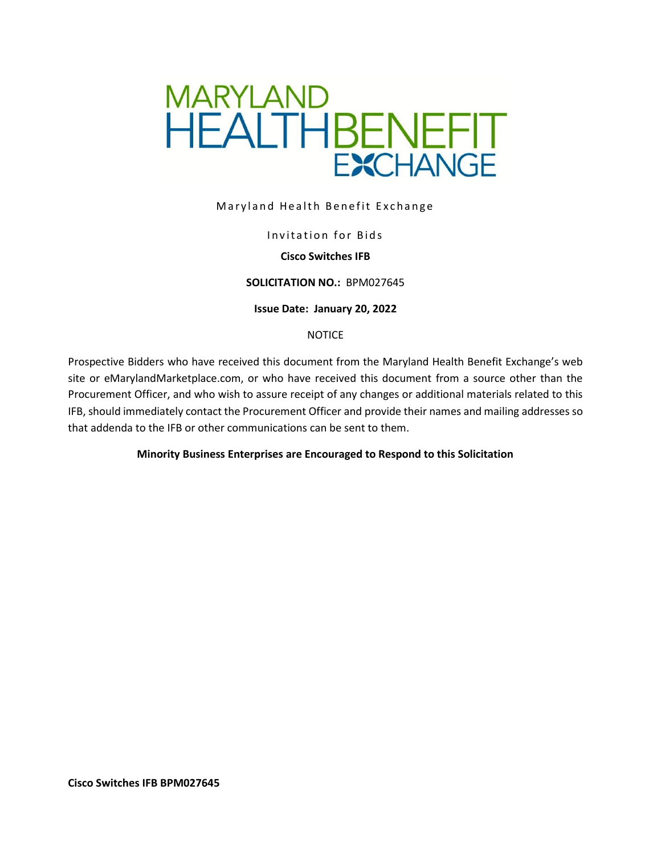

### Maryland Health Benefit Exchange

### Invitation for Bids

## **Cisco Switches IFB**

#### **SOLICITATION NO.:** BPM027645

#### **Issue Date: January 20, 2022**

### **NOTICE**

Prospective Bidders who have received this document from the Maryland Health Benefit Exchange's web site or eMarylandMarketplace.com, or who have received this document from a source other than the Procurement Officer, and who wish to assure receipt of any changes or additional materials related to this IFB, should immediately contact the Procurement Officer and provide their names and mailing addresses so that addenda to the IFB or other communications can be sent to them.

### **Minority Business Enterprises are Encouraged to Respond to this Solicitation**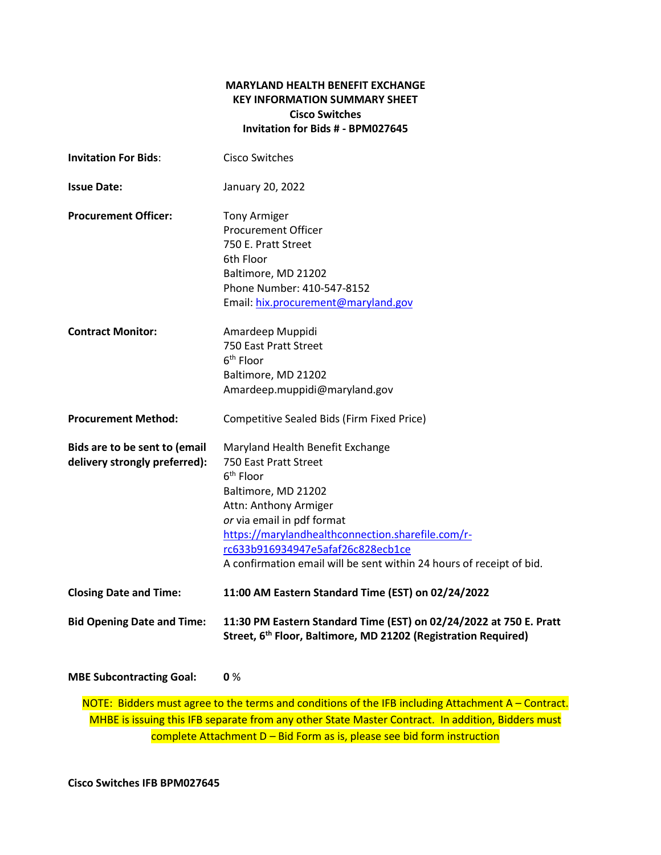## **MARYLAND HEALTH BENEFIT EXCHANGE KEY INFORMATION SUMMARY SHEET Cisco Switches Invitation for Bids # - BPM027645**

| <b>Invitation For Bids:</b>                                    | <b>Cisco Switches</b>                                                                                                                                                                                                                                                                                                    |
|----------------------------------------------------------------|--------------------------------------------------------------------------------------------------------------------------------------------------------------------------------------------------------------------------------------------------------------------------------------------------------------------------|
| <b>Issue Date:</b>                                             | January 20, 2022                                                                                                                                                                                                                                                                                                         |
| <b>Procurement Officer:</b>                                    | <b>Tony Armiger</b><br><b>Procurement Officer</b><br>750 E. Pratt Street<br>6th Floor<br>Baltimore, MD 21202<br>Phone Number: 410-547-8152<br>Email: hix.procurement@maryland.gov                                                                                                                                        |
| <b>Contract Monitor:</b>                                       | Amardeep Muppidi<br>750 East Pratt Street<br>6 <sup>th</sup> Floor<br>Baltimore, MD 21202<br>Amardeep.muppidi@maryland.gov                                                                                                                                                                                               |
| <b>Procurement Method:</b>                                     | Competitive Sealed Bids (Firm Fixed Price)                                                                                                                                                                                                                                                                               |
| Bids are to be sent to (email<br>delivery strongly preferred): | Maryland Health Benefit Exchange<br>750 East Pratt Street<br>$6th$ Floor<br>Baltimore, MD 21202<br>Attn: Anthony Armiger<br>or via email in pdf format<br>https://marylandhealthconnection.sharefile.com/r-<br>rc633b916934947e5afaf26c828ecb1ce<br>A confirmation email will be sent within 24 hours of receipt of bid. |
| <b>Closing Date and Time:</b>                                  | 11:00 AM Eastern Standard Time (EST) on 02/24/2022                                                                                                                                                                                                                                                                       |
| <b>Bid Opening Date and Time:</b>                              | 11:30 PM Eastern Standard Time (EST) on 02/24/2022 at 750 E. Pratt<br>Street, 6 <sup>th</sup> Floor, Baltimore, MD 21202 (Registration Required)                                                                                                                                                                         |

**MBE Subcontracting Goal: 0** %

NOTE: Bidders must agree to the terms and conditions of the IFB including Attachment A – Contract. MHBE is issuing this IFB separate from any other State Master Contract. In addition, Bidders must complete Attachment D – Bid Form as is, please see bid form instruction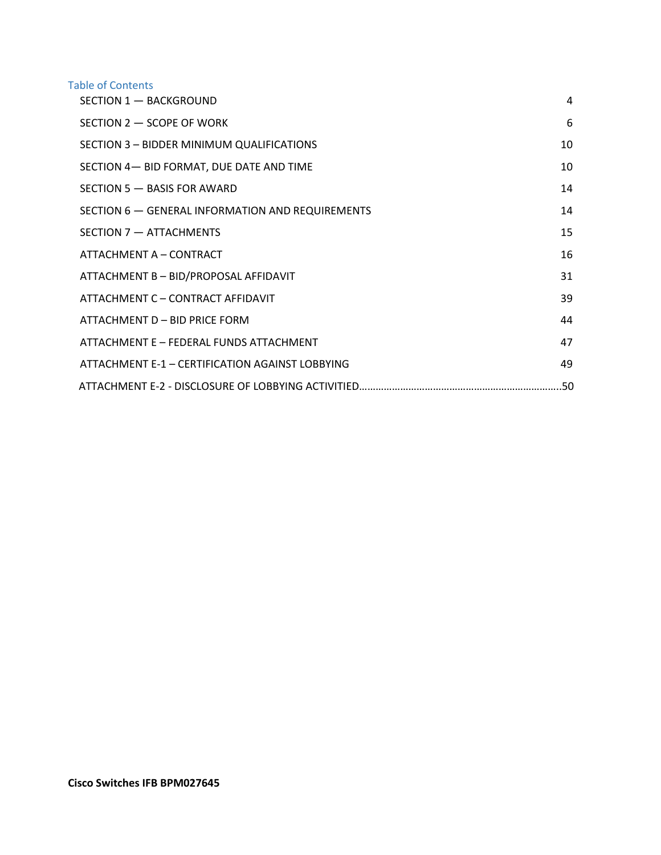### Table of Contents

| SECTION 1 - BACKGROUND                           | 4  |
|--------------------------------------------------|----|
| SECTION 2 - SCOPE OF WORK                        | 6  |
| SECTION 3 - BIDDER MINIMUM QUALIFICATIONS        | 10 |
| SECTION 4- BID FORMAT, DUE DATE AND TIME         | 10 |
| SECTION 5 - BASIS FOR AWARD                      | 14 |
| SECTION 6 - GENERAL INFORMATION AND REQUIREMENTS | 14 |
| SECTION 7 - ATTACHMENTS                          | 15 |
| ATTACHMENT A - CONTRACT                          | 16 |
| ATTACHMENT B - BID/PROPOSAL AFFIDAVIT            | 31 |
| ATTACHMENT C - CONTRACT AFFIDAVIT                | 39 |
| ATTACHMENT D - BID PRICE FORM                    | 44 |
| ATTACHMENT E - FEDERAL FUNDS ATTACHMENT          | 47 |
| ATTACHMENT E-1 - CERTIFICATION AGAINST LOBBYING  | 49 |
|                                                  |    |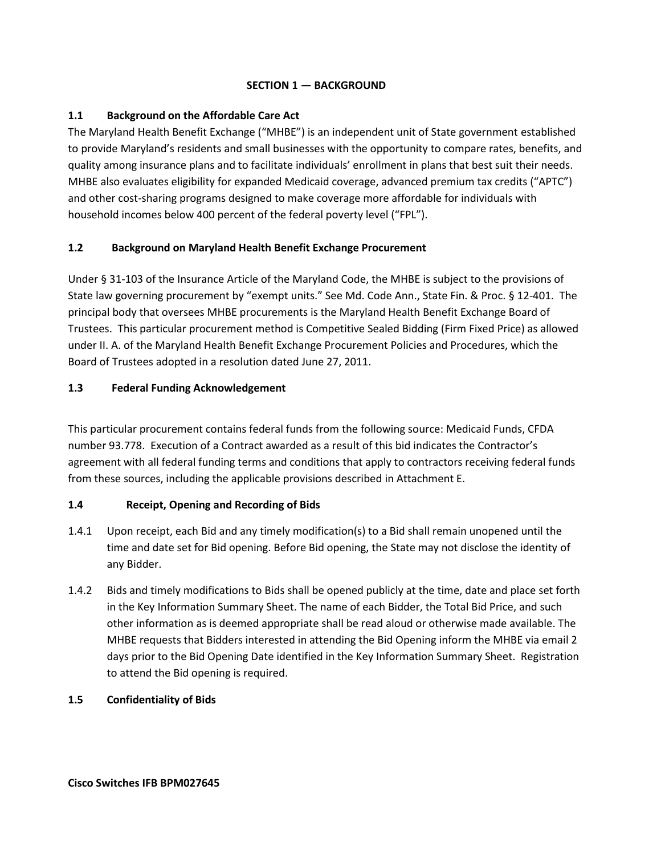## **SECTION 1 — BACKGROUND**

## <span id="page-3-0"></span>**1.1 Background on the Affordable Care Act**

The Maryland Health Benefit Exchange ("MHBE") is an independent unit of State government established to provide Maryland's residents and small businesses with the opportunity to compare rates, benefits, and quality among insurance plans and to facilitate individuals' enrollment in plans that best suit their needs. MHBE also evaluates eligibility for expanded Medicaid coverage, advanced premium tax credits ("APTC") and other cost-sharing programs designed to make coverage more affordable for individuals with household incomes below 400 percent of the federal poverty level ("FPL").

# **1.2 Background on Maryland Health Benefit Exchange Procurement**

Under § 31-103 of the Insurance Article of the Maryland Code, the MHBE is subject to the provisions of State law governing procurement by "exempt units." See Md. Code Ann., State Fin. & Proc. § 12-401. The principal body that oversees MHBE procurements is the Maryland Health Benefit Exchange Board of Trustees. This particular procurement method is Competitive Sealed Bidding (Firm Fixed Price) as allowed under II. A. of the Maryland Health Benefit Exchange Procurement Policies and Procedures, which the Board of Trustees adopted in a resolution dated June 27, 2011.

## **1.3 Federal Funding Acknowledgement**

This particular procurement contains federal funds from the following source: Medicaid Funds, CFDA number 93.778. Execution of a Contract awarded as a result of this bid indicates the Contractor's agreement with all federal funding terms and conditions that apply to contractors receiving federal funds from these sources, including the applicable provisions described in Attachment E.

### **1.4 Receipt, Opening and Recording of Bids**

- 1.4.1 Upon receipt, each Bid and any timely modification(s) to a Bid shall remain unopened until the time and date set for Bid opening. Before Bid opening, the State may not disclose the identity of any Bidder.
- 1.4.2 Bids and timely modifications to Bids shall be opened publicly at the time, date and place set forth in the Key Information Summary Sheet. The name of each Bidder, the Total Bid Price, and such other information as is deemed appropriate shall be read aloud or otherwise made available. The MHBE requests that Bidders interested in attending the Bid Opening inform the MHBE via email 2 days prior to the Bid Opening Date identified in the Key Information Summary Sheet. Registration to attend the Bid opening is required.
- **1.5 Confidentiality of Bids**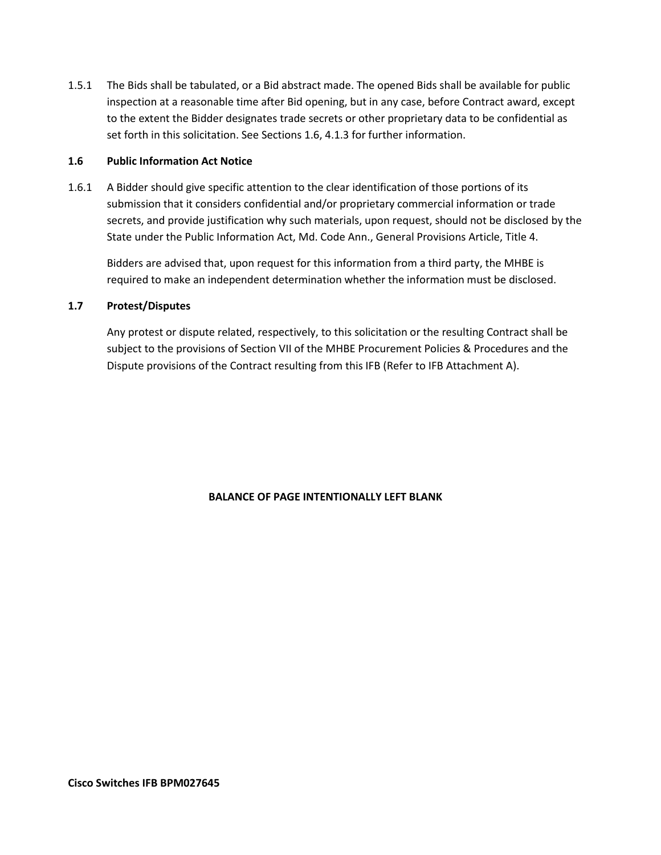1.5.1 The Bids shall be tabulated, or a Bid abstract made. The opened Bids shall be available for public inspection at a reasonable time after Bid opening, but in any case, before Contract award, except to the extent the Bidder designates trade secrets or other proprietary data to be confidential as set forth in this solicitation. See Sections 1.6, 4.1.3 for further information.

### **1.6 Public Information Act Notice**

1.6.1 A Bidder should give specific attention to the clear identification of those portions of its submission that it considers confidential and/or proprietary commercial information or trade secrets, and provide justification why such materials, upon request, should not be disclosed by the State under the Public Information Act, Md. Code Ann., General Provisions Article, Title 4.

Bidders are advised that, upon request for this information from a third party, the MHBE is required to make an independent determination whether the information must be disclosed.

### **1.7 Protest/Disputes**

Any protest or dispute related, respectively, to this solicitation or the resulting Contract shall be subject to the provisions of Section VII of the MHBE Procurement Policies & Procedures and the Dispute provisions of the Contract resulting from this IFB (Refer to IFB Attachment A).

### **BALANCE OF PAGE INTENTIONALLY LEFT BLANK**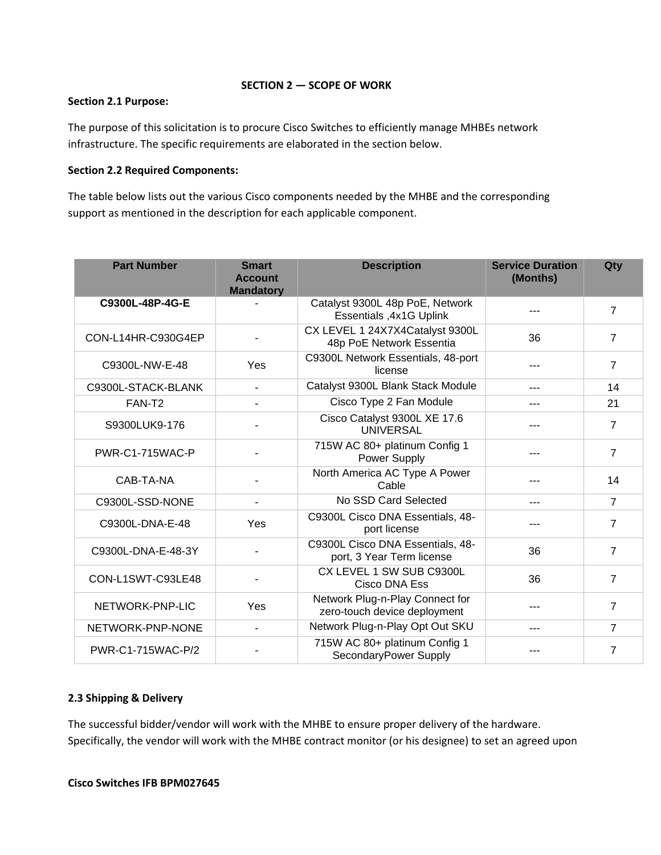### **SECTION 2 — SCOPE OF WORK**

### <span id="page-5-0"></span>**Section 2.1 Purpose:**

The purpose of this solicitation is to procure Cisco Switches to efficiently manage MHBEs network infrastructure. The specific requirements are elaborated in the section below.

### **Section 2.2 Required Components:**

The table below lists out the various Cisco components needed by the MHBE and the corresponding support as mentioned in the description for each applicable component.

| <b>Part Number</b> | <b>Smart</b><br><b>Account</b><br><b>Mandatory</b> | <b>Description</b>                                              | <b>Service Duration</b><br>(Months) | Qty            |
|--------------------|----------------------------------------------------|-----------------------------------------------------------------|-------------------------------------|----------------|
| C9300L-48P-4G-E    |                                                    | Catalyst 9300L 48p PoE, Network<br>Essentials , 4x1G Uplink     |                                     | $\overline{7}$ |
| CON-L14HR-C930G4EP |                                                    | CX LEVEL 1 24X7X4Catalyst 9300L<br>48p PoE Network Essentia     | 36                                  | $\overline{7}$ |
| C9300L-NW-E-48     | Yes                                                | C9300L Network Essentials, 48-port<br>license                   | ---                                 | $\overline{7}$ |
| C9300L-STACK-BLANK | $\blacksquare$                                     | Catalyst 9300L Blank Stack Module                               | $---$                               | 14             |
| FAN-T <sub>2</sub> |                                                    | Cisco Type 2 Fan Module                                         | ---                                 | 21             |
| S9300LUK9-176      |                                                    | Cisco Catalyst 9300L XE 17.6<br><b>UNIVERSAL</b>                |                                     | $\overline{7}$ |
| PWR-C1-715WAC-P    |                                                    | 715W AC 80+ platinum Config 1<br>Power Supply                   |                                     | $\overline{7}$ |
| CAB-TA-NA          |                                                    | North America AC Type A Power<br>Cable                          |                                     | 14             |
| C9300L-SSD-NONE    | $\blacksquare$                                     | No SSD Card Selected                                            | $---$                               | $\overline{7}$ |
| C9300L-DNA-E-48    | Yes                                                | C9300L Cisco DNA Essentials, 48-<br>port license                |                                     | $\overline{7}$ |
| C9300L-DNA-E-48-3Y |                                                    | C9300L Cisco DNA Essentials, 48-<br>port, 3 Year Term license   | 36                                  | 7              |
| CON-L1SWT-C93LE48  |                                                    | CX LEVEL 1 SW SUB C9300L<br>Cisco DNA Ess                       | 36                                  | $\overline{7}$ |
| NETWORK-PNP-LIC    | Yes                                                | Network Plug-n-Play Connect for<br>zero-touch device deployment | ---                                 | 7              |
| NETWORK-PNP-NONE   | $\overline{\phantom{a}}$                           | Network Plug-n-Play Opt Out SKU                                 | ---                                 | $\overline{7}$ |
| PWR-C1-715WAC-P/2  |                                                    | 715W AC 80+ platinum Config 1<br>SecondaryPower Supply          |                                     | 7              |

### **2.3 Shipping & Delivery**

The successful bidder/vendor will work with the MHBE to ensure proper delivery of the hardware. Specifically, the vendor will work with the MHBE contract monitor (or his designee) to set an agreed upon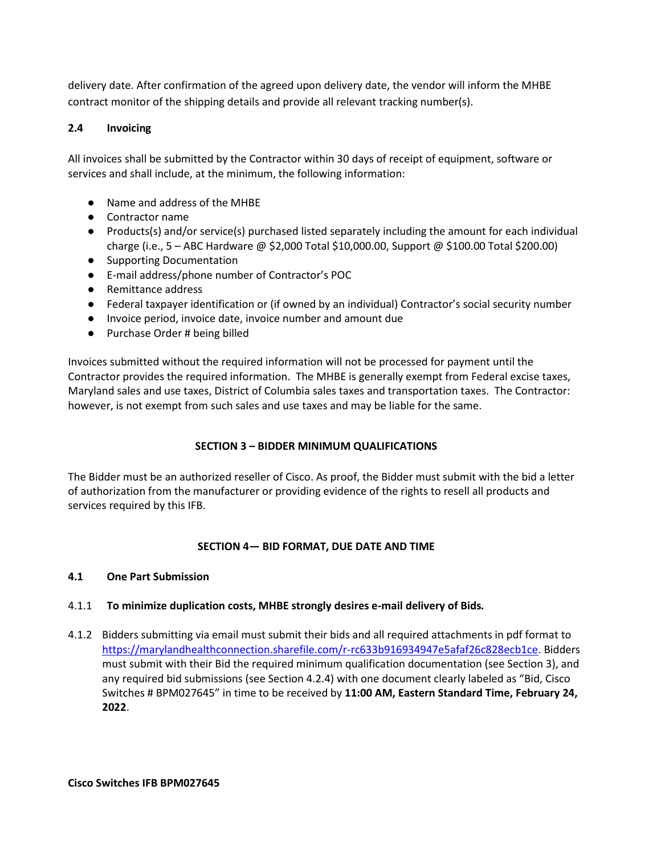delivery date. After confirmation of the agreed upon delivery date, the vendor will inform the MHBE contract monitor of the shipping details and provide all relevant tracking number(s).

# **2.4 Invoicing**

All invoices shall be submitted by the Contractor within 30 days of receipt of equipment, software or services and shall include, at the minimum, the following information:

- Name and address of the MHBE
- Contractor name
- Products(s) and/or service(s) purchased listed separately including the amount for each individual charge (i.e., 5 – ABC Hardware @ \$2,000 Total \$10,000.00, Support @ \$100.00 Total \$200.00)
- Supporting Documentation
- E-mail address/phone number of Contractor's POC
- Remittance address
- Federal taxpayer identification or (if owned by an individual) Contractor's social security number
- Invoice period, invoice date, invoice number and amount due
- Purchase Order # being billed

Invoices submitted without the required information will not be processed for payment until the Contractor provides the required information. The MHBE is generally exempt from Federal excise taxes, Maryland sales and use taxes, District of Columbia sales taxes and transportation taxes. The Contractor: however, is not exempt from such sales and use taxes and may be liable for the same.

# **SECTION 3 – BIDDER MINIMUM QUALIFICATIONS**

<span id="page-6-0"></span>The Bidder must be an authorized reseller of Cisco. As proof, the Bidder must submit with the bid a letter of authorization from the manufacturer or providing evidence of the rights to resell all products and services required by this IFB.

# **SECTION 4— BID FORMAT, DUE DATE AND TIME**

# <span id="page-6-1"></span>**4.1 One Part Submission**

# 4.1.1 **To minimize duplication costs, MHBE strongly desires e-mail delivery of Bids***.*

4.1.2 Bidders submitting via email must submit their bids and all required attachments in pdf format to [https://marylandhealthconnection.sharefile.com/r-rc633b916934947e5afaf26c828ecb1ce.](https://marylandhealthconnection.sharefile.com/r-rc633b916934947e5afaf26c828ecb1ce) Bidders must submit with their Bid the required minimum qualification documentation (see Section 3), and any required bid submissions (see Section 4.2.4) with one document clearly labeled as "Bid, Cisco Switches # BPM027645" in time to be received by **11:00 AM, Eastern Standard Time, February 24, 2022**.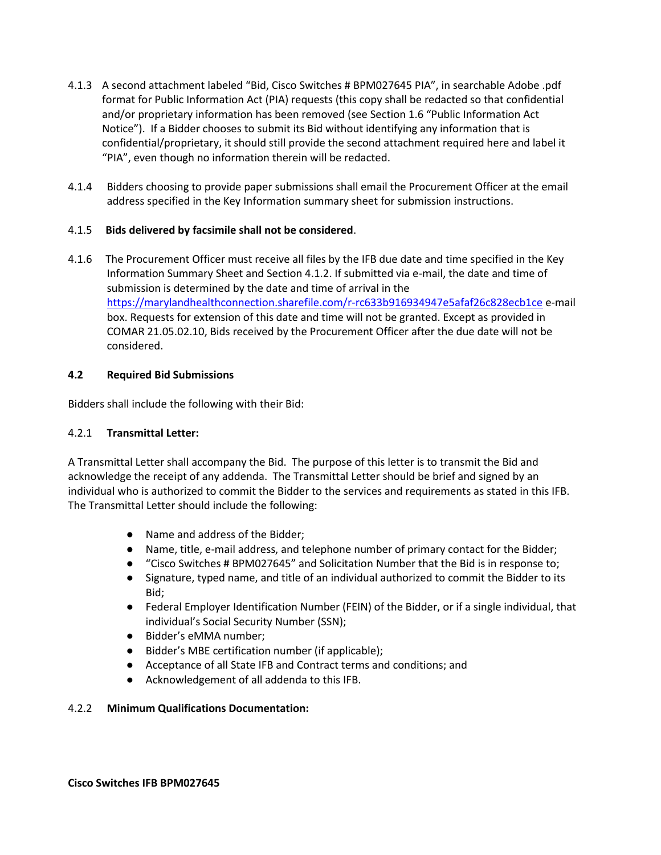- 4.1.3 A second attachment labeled "Bid, Cisco Switches # BPM027645 PIA", in searchable Adobe .pdf format for Public Information Act (PIA) requests (this copy shall be redacted so that confidential and/or proprietary information has been removed (see Section 1.6 "Public Information Act Notice"). If a Bidder chooses to submit its Bid without identifying any information that is confidential/proprietary, it should still provide the second attachment required here and label it "PIA", even though no information therein will be redacted.
- 4.1.4 Bidders choosing to provide paper submissions shall email the Procurement Officer at the email address specified in the Key Information summary sheet for submission instructions.

## 4.1.5 **Bids delivered by facsimile shall not be considered**.

4.1.6 The Procurement Officer must receive all files by the IFB due date and time specified in the Key Information Summary Sheet and Section 4.1.2. If submitted via e-mail, the date and time of submission is determined by the date and time of arrival in the <https://marylandhealthconnection.sharefile.com/r-rc633b916934947e5afaf26c828ecb1ce> e-mail box. Requests for extension of this date and time will not be granted. Except as provided in COMAR 21.05.02.10, Bids received by the Procurement Officer after the due date will not be considered.

### **4.2 Required Bid Submissions**

Bidders shall include the following with their Bid:

### 4.2.1 **Transmittal Letter:**

A Transmittal Letter shall accompany the Bid. The purpose of this letter is to transmit the Bid and acknowledge the receipt of any addenda. The Transmittal Letter should be brief and signed by an individual who is authorized to commit the Bidder to the services and requirements as stated in this IFB. The Transmittal Letter should include the following:

- Name and address of the Bidder;
- Name, title, e-mail address, and telephone number of primary contact for the Bidder;
- "Cisco Switches # BPM027645" and Solicitation Number that the Bid is in response to;
- Signature, typed name, and title of an individual authorized to commit the Bidder to its Bid;
- Federal Employer Identification Number (FEIN) of the Bidder, or if a single individual, that individual's Social Security Number (SSN);
- Bidder's eMMA number;
- Bidder's MBE certification number (if applicable);
- Acceptance of all State IFB and Contract terms and conditions; and
- Acknowledgement of all addenda to this IFB.

### 4.2.2 **Minimum Qualifications Documentation:**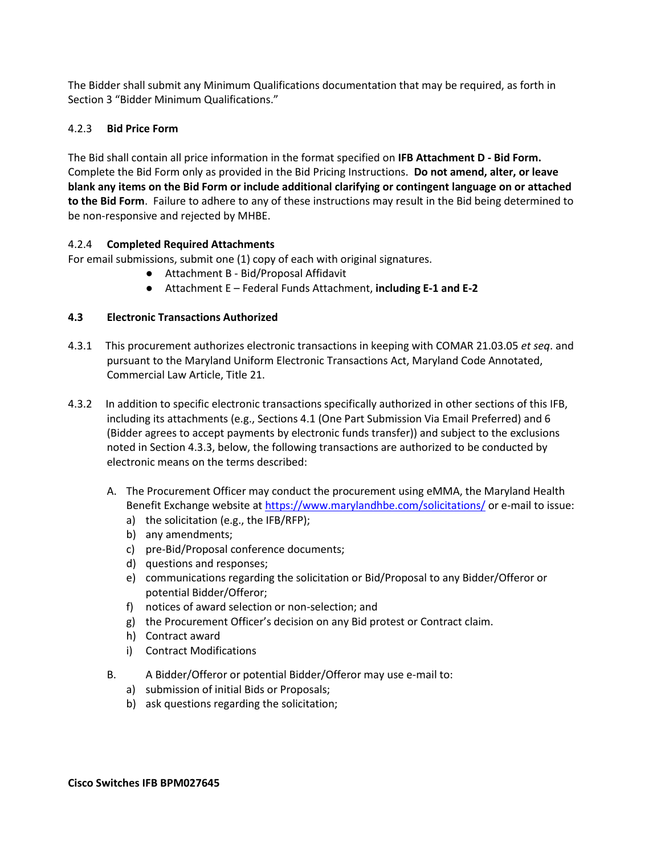The Bidder shall submit any Minimum Qualifications documentation that may be required, as forth in Section 3 "Bidder Minimum Qualifications."

## 4.2.3 **Bid Price Form**

The Bid shall contain all price information in the format specified on **IFB Attachment D - Bid Form.** Complete the Bid Form only as provided in the Bid Pricing Instructions. **Do not amend, alter, or leave blank any items on the Bid Form or include additional clarifying or contingent language on or attached to the Bid Form**. Failure to adhere to any of these instructions may result in the Bid being determined to be non-responsive and rejected by MHBE.

## 4.2.4 **Completed Required Attachments**

For email submissions, submit one (1) copy of each with original signatures.

- Attachment B Bid/Proposal Affidavit
- Attachment E Federal Funds Attachment, **including E-1 and E-2**

# **4.3 Electronic Transactions Authorized**

- 4.3.1 This procurement authorizes electronic transactions in keeping with COMAR 21.03.05 *et seq*. and pursuant to the Maryland Uniform Electronic Transactions Act, Maryland Code Annotated, Commercial Law Article, Title 21.
- 4.3.2 In addition to specific electronic transactions specifically authorized in other sections of this IFB, including its attachments (e.g., Sections 4.1 (One Part Submission Via Email Preferred) and 6 (Bidder agrees to accept payments by electronic funds transfer)) and subject to the exclusions noted in Section 4.3.3, below, the following transactions are authorized to be conducted by electronic means on the terms described:
	- A. The Procurement Officer may conduct the procurement using eMMA, the Maryland Health Benefit Exchange website a[t https://www.marylandhbe.com/solicitations/](https://www.marylandhbe.com/solicitations/) or e-mail to issue:
		- a) the solicitation (e.g., the IFB/RFP);
		- b) any amendments;
		- c) pre-Bid/Proposal conference documents;
		- d) questions and responses;
		- e) communications regarding the solicitation or Bid/Proposal to any Bidder/Offeror or potential Bidder/Offeror;
		- f) notices of award selection or non-selection; and
		- g) the Procurement Officer's decision on any Bid protest or Contract claim.
		- h) Contract award
		- i) Contract Modifications
	- B. A Bidder/Offeror or potential Bidder/Offeror may use e-mail to:
		- a) submission of initial Bids or Proposals;
		- b) ask questions regarding the solicitation;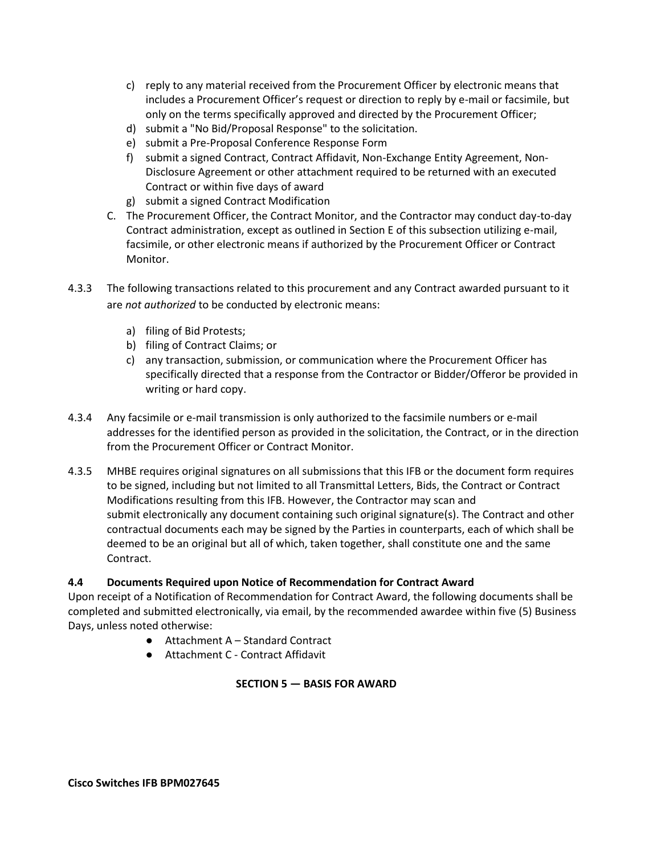- c) reply to any material received from the Procurement Officer by electronic means that includes a Procurement Officer's request or direction to reply by e-mail or facsimile, but only on the terms specifically approved and directed by the Procurement Officer;
- d) submit a "No Bid/Proposal Response" to the solicitation.
- e) submit a Pre-Proposal Conference Response Form
- f) submit a signed Contract, Contract Affidavit, Non-Exchange Entity Agreement, Non-Disclosure Agreement or other attachment required to be returned with an executed Contract or within five days of award
- g) submit a signed Contract Modification
- C. The Procurement Officer, the Contract Monitor, and the Contractor may conduct day-to-day Contract administration, except as outlined in Section E of this subsection utilizing e-mail, facsimile, or other electronic means if authorized by the Procurement Officer or Contract Monitor.
- 4.3.3 The following transactions related to this procurement and any Contract awarded pursuant to it are *not authorized* to be conducted by electronic means:
	- a) filing of Bid Protests;
	- b) filing of Contract Claims; or
	- c) any transaction, submission, or communication where the Procurement Officer has specifically directed that a response from the Contractor or Bidder/Offeror be provided in writing or hard copy.
- 4.3.4 Any facsimile or e-mail transmission is only authorized to the facsimile numbers or e-mail addresses for the identified person as provided in the solicitation, the Contract, or in the direction from the Procurement Officer or Contract Monitor.
- 4.3.5 MHBE requires original signatures on all submissions that this IFB or the document form requires to be signed, including but not limited to all Transmittal Letters, Bids, the Contract or Contract Modifications resulting from this IFB. However, the Contractor may scan and submit electronically any document containing such original signature(s). The Contract and other contractual documents each may be signed by the Parties in counterparts, each of which shall be deemed to be an original but all of which, taken together, shall constitute one and the same Contract.

### **4.4 Documents Required upon Notice of Recommendation for Contract Award**

Upon receipt of a Notification of Recommendation for Contract Award, the following documents shall be completed and submitted electronically, via email, by the recommended awardee within five (5) Business Days, unless noted otherwise:

- $\bullet$  Attachment A Standard Contract
- <span id="page-9-0"></span>● Attachment C - Contract Affidavit

### **SECTION 5 — BASIS FOR AWARD**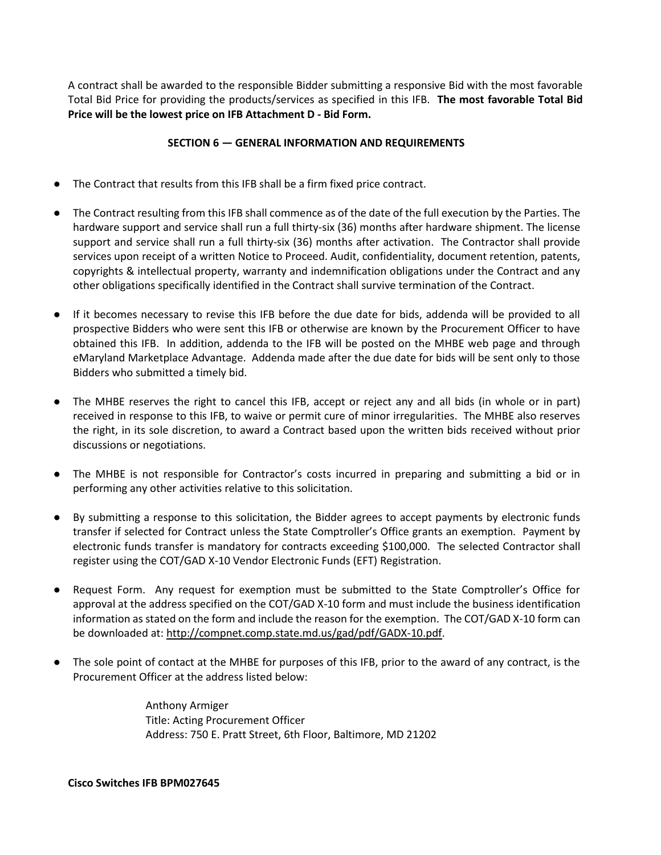A contract shall be awarded to the responsible Bidder submitting a responsive Bid with the most favorable Total Bid Price for providing the products/services as specified in this IFB. **The most favorable Total Bid Price will be the lowest price on IFB Attachment D - Bid Form.**

## **SECTION 6 — GENERAL INFORMATION AND REQUIREMENTS**

- <span id="page-10-0"></span>The Contract that results from this IFB shall be a firm fixed price contract.
- The Contract resulting from this IFB shall commence as of the date of the full execution by the Parties. The hardware support and service shall run a full thirty-six (36) months after hardware shipment. The license support and service shall run a full thirty-six (36) months after activation. The Contractor shall provide services upon receipt of a written Notice to Proceed. Audit, confidentiality, document retention, patents, copyrights & intellectual property, warranty and indemnification obligations under the Contract and any other obligations specifically identified in the Contract shall survive termination of the Contract.
- If it becomes necessary to revise this IFB before the due date for bids, addenda will be provided to all prospective Bidders who were sent this IFB or otherwise are known by the Procurement Officer to have obtained this IFB. In addition, addenda to the IFB will be posted on the MHBE web page and through eMaryland Marketplace Advantage. Addenda made after the due date for bids will be sent only to those Bidders who submitted a timely bid.
- The MHBE reserves the right to cancel this IFB, accept or reject any and all bids (in whole or in part) received in response to this IFB, to waive or permit cure of minor irregularities. The MHBE also reserves the right, in its sole discretion, to award a Contract based upon the written bids received without prior discussions or negotiations.
- The MHBE is not responsible for Contractor's costs incurred in preparing and submitting a bid or in performing any other activities relative to this solicitation.
- By submitting a response to this solicitation, the Bidder agrees to accept payments by electronic funds transfer if selected for Contract unless the State Comptroller's Office grants an exemption. Payment by electronic funds transfer is mandatory for contracts exceeding \$100,000. The selected Contractor shall register using the COT/GAD X-10 Vendor Electronic Funds (EFT) Registration.
- Request Form. Any request for exemption must be submitted to the State Comptroller's Office for approval at the address specified on the COT/GAD X-10 form and must include the business identification information as stated on the form and include the reason for the exemption. The COT/GAD X-10 form can be downloaded at: [http://compnet.comp.state.md.us/gad/pdf/GADX-10.pdf.](http://compnet.comp.state.md.us/gad/pdf/GADX-10.pdf)
- The sole point of contact at the MHBE for purposes of this IFB, prior to the award of any contract, is the Procurement Officer at the address listed below:

Anthony Armiger Title: Acting Procurement Officer Address: 750 E. Pratt Street, 6th Floor, Baltimore, MD 21202

### **Cisco Switches IFB BPM027645**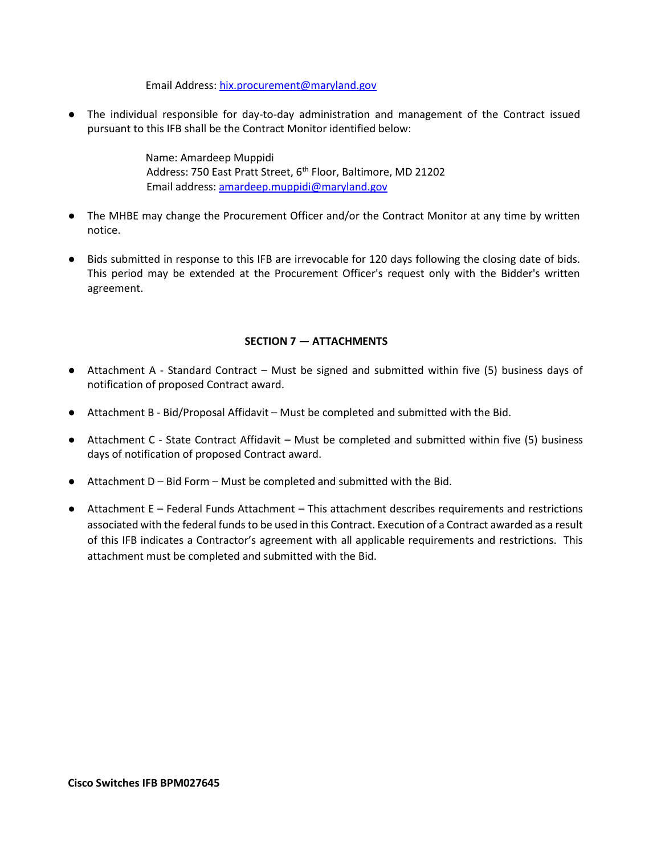Email Address: [hix.procurement@maryland.gov](mailto:hix.procurement@maryland.gov)

● The individual responsible for day-to-day administration and management of the Contract issued pursuant to this IFB shall be the Contract Monitor identified below:

> Name: Amardeep Muppidi Address: 750 East Pratt Street, 6<sup>th</sup> Floor, Baltimore, MD 21202 Email address[: amardeep.muppidi@maryland.gov](mailto:amardeep.muppidi@maryland.gov)

- The MHBE may change the Procurement Officer and/or the Contract Monitor at any time by written notice.
- Bids submitted in response to this IFB are irrevocable for 120 days following the closing date of bids. This period may be extended at the Procurement Officer's request only with the Bidder's written agreement.

## **SECTION 7 — ATTACHMENTS**

- <span id="page-11-0"></span>● Attachment A - Standard Contract – Must be signed and submitted within five (5) business days of notification of proposed Contract award.
- Attachment B Bid/Proposal Affidavit Must be completed and submitted with the Bid.
- Attachment C State Contract Affidavit Must be completed and submitted within five (5) business days of notification of proposed Contract award.
- $\bullet$  Attachment D Bid Form Must be completed and submitted with the Bid.
- Attachment E Federal Funds Attachment This attachment describes requirements and restrictions associated with the federal funds to be used in this Contract. Execution of a Contract awarded as a result of this IFB indicates a Contractor's agreement with all applicable requirements and restrictions. This attachment must be completed and submitted with the Bid.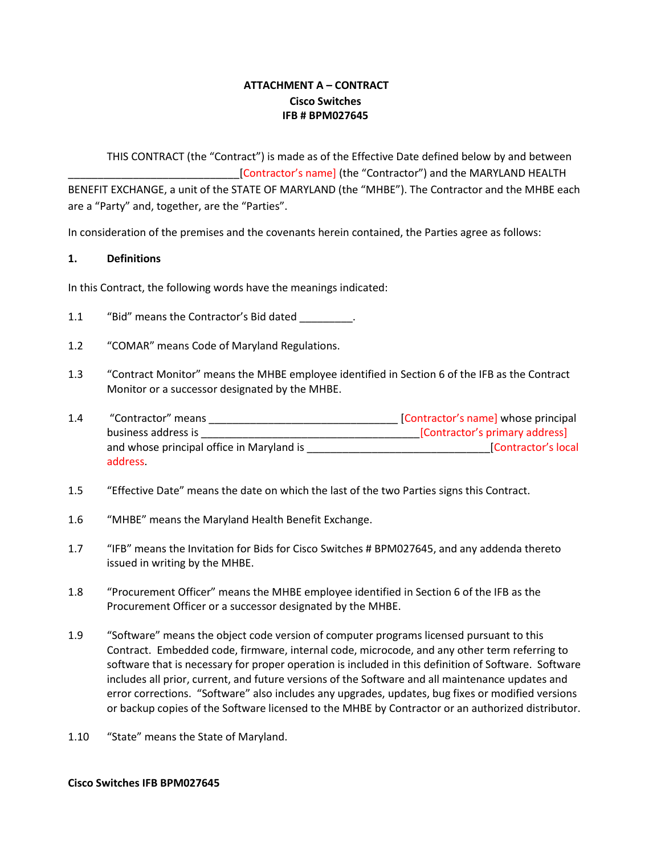# **ATTACHMENT A – CONTRACT Cisco Switches IFB # BPM027645**

<span id="page-12-0"></span>THIS CONTRACT (the "Contract") is made as of the Effective Date defined below by and between [Contractor's name] (the "Contractor") and the MARYLAND HEALTH BENEFIT EXCHANGE, a unit of the STATE OF MARYLAND (the "MHBE"). The Contractor and the MHBE each are a "Party" and, together, are the "Parties".

In consideration of the premises and the covenants herein contained, the Parties agree as follows:

### **1. Definitions**

In this Contract, the following words have the meanings indicated:

- 1.1 "Bid" means the Contractor's Bid dated .
- 1.2 "COMAR" means Code of Maryland Regulations.
- 1.3 "Contract Monitor" means the MHBE employee identified in Section 6 of the IFB as the Contract Monitor or a successor designated by the MHBE.
- 1.4 "Contractor" means \_\_\_\_\_\_\_\_\_\_\_\_\_\_\_\_\_\_\_\_\_\_\_\_\_\_\_\_\_\_\_\_ [Contractor's name] whose principal business address is \_\_\_\_\_\_\_\_\_\_\_\_\_\_\_\_\_\_\_\_\_\_\_\_\_\_\_\_\_\_\_\_\_\_\_\_\_[Contractor's primary address] and whose principal office in Maryland is each of the set of the set of the set of the set of the set of the set of the set of the set of the set of the set of the set of the set of the set of the set of the set of the set address.
- 1.5 "Effective Date" means the date on which the last of the two Parties signs this Contract.
- 1.6 "MHBE" means the Maryland Health Benefit Exchange.
- 1.7 "IFB" means the Invitation for Bids for Cisco Switches # BPM027645, and any addenda thereto issued in writing by the MHBE.
- 1.8 "Procurement Officer" means the MHBE employee identified in Section 6 of the IFB as the Procurement Officer or a successor designated by the MHBE.
- 1.9 "Software" means the object code version of computer programs licensed pursuant to this Contract. Embedded code, firmware, internal code, microcode, and any other term referring to software that is necessary for proper operation is included in this definition of Software. Software includes all prior, current, and future versions of the Software and all maintenance updates and error corrections. "Software" also includes any upgrades, updates, bug fixes or modified versions or backup copies of the Software licensed to the MHBE by Contractor or an authorized distributor.
- 1.10 "State" means the State of Maryland.

### **Cisco Switches IFB BPM027645**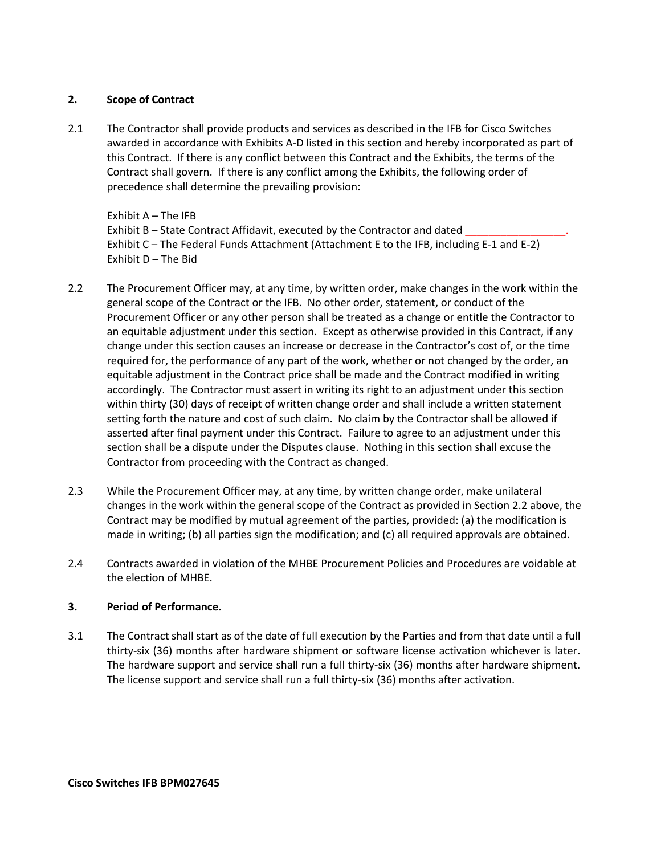## **2. Scope of Contract**

2.1 The Contractor shall provide products and services as described in the IFB for Cisco Switches awarded in accordance with Exhibits A-D listed in this section and hereby incorporated as part of this Contract. If there is any conflict between this Contract and the Exhibits, the terms of the Contract shall govern. If there is any conflict among the Exhibits, the following order of precedence shall determine the prevailing provision:

Exhibit A – The IFB Exhibit B – State Contract Affidavit, executed by the Contractor and dated Exhibit C – The Federal Funds Attachment (Attachment E to the IFB, including E-1 and E-2) Exhibit D – The Bid

- 2.2 The Procurement Officer may, at any time, by written order, make changes in the work within the general scope of the Contract or the IFB. No other order, statement, or conduct of the Procurement Officer or any other person shall be treated as a change or entitle the Contractor to an equitable adjustment under this section. Except as otherwise provided in this Contract, if any change under this section causes an increase or decrease in the Contractor's cost of, or the time required for, the performance of any part of the work, whether or not changed by the order, an equitable adjustment in the Contract price shall be made and the Contract modified in writing accordingly. The Contractor must assert in writing its right to an adjustment under this section within thirty (30) days of receipt of written change order and shall include a written statement setting forth the nature and cost of such claim. No claim by the Contractor shall be allowed if asserted after final payment under this Contract. Failure to agree to an adjustment under this section shall be a dispute under the Disputes clause. Nothing in this section shall excuse the Contractor from proceeding with the Contract as changed.
- 2.3 While the Procurement Officer may, at any time, by written change order, make unilateral changes in the work within the general scope of the Contract as provided in Section 2.2 above, the Contract may be modified by mutual agreement of the parties, provided: (a) the modification is made in writing; (b) all parties sign the modification; and (c) all required approvals are obtained.
- 2.4 Contracts awarded in violation of the MHBE Procurement Policies and Procedures are voidable at the election of MHBE.

# **3. Period of Performance.**

3.1 The Contract shall start as of the date of full execution by the Parties and from that date until a full thirty-six (36) months after hardware shipment or software license activation whichever is later. The hardware support and service shall run a full thirty-six (36) months after hardware shipment. The license support and service shall run a full thirty-six (36) months after activation.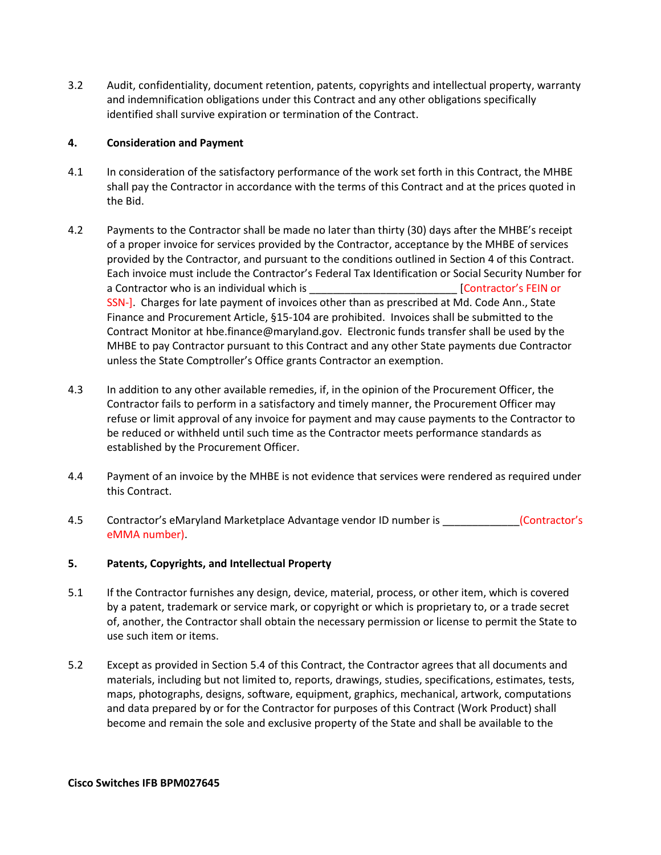3.2 Audit, confidentiality, document retention, patents, copyrights and intellectual property, warranty and indemnification obligations under this Contract and any other obligations specifically identified shall survive expiration or termination of the Contract.

### **4. Consideration and Payment**

- 4.1 In consideration of the satisfactory performance of the work set forth in this Contract, the MHBE shall pay the Contractor in accordance with the terms of this Contract and at the prices quoted in the Bid.
- 4.2 Payments to the Contractor shall be made no later than thirty (30) days after the MHBE's receipt of a proper invoice for services provided by the Contractor, acceptance by the MHBE of services provided by the Contractor, and pursuant to the conditions outlined in Section 4 of this Contract. Each invoice must include the Contractor's Federal Tax Identification or Social Security Number for a Contractor who is an individual which is equal to the contractor's FEIN or SSN-]. Charges for late payment of invoices other than as prescribed at Md. Code Ann., State Finance and Procurement Article, §15-104 are prohibited. Invoices shall be submitted to the Contract Monitor at hbe.finance@maryland.gov. Electronic funds transfer shall be used by the MHBE to pay Contractor pursuant to this Contract and any other State payments due Contractor unless the State Comptroller's Office grants Contractor an exemption.
- 4.3 In addition to any other available remedies, if, in the opinion of the Procurement Officer, the Contractor fails to perform in a satisfactory and timely manner, the Procurement Officer may refuse or limit approval of any invoice for payment and may cause payments to the Contractor to be reduced or withheld until such time as the Contractor meets performance standards as established by the Procurement Officer.
- 4.4 Payment of an invoice by the MHBE is not evidence that services were rendered as required under this Contract.
- 4.5 Contractor's eMaryland Marketplace Advantage vendor ID number is \_\_\_\_\_\_\_\_\_\_\_(Contractor's eMMA number).

# **5. Patents, Copyrights, and Intellectual Property**

- 5.1 If the Contractor furnishes any design, device, material, process, or other item, which is covered by a patent, trademark or service mark, or copyright or which is proprietary to, or a trade secret of, another, the Contractor shall obtain the necessary permission or license to permit the State to use such item or items.
- 5.2 Except as provided in Section 5.4 of this Contract, the Contractor agrees that all documents and materials, including but not limited to, reports, drawings, studies, specifications, estimates, tests, maps, photographs, designs, software, equipment, graphics, mechanical, artwork, computations and data prepared by or for the Contractor for purposes of this Contract (Work Product) shall become and remain the sole and exclusive property of the State and shall be available to the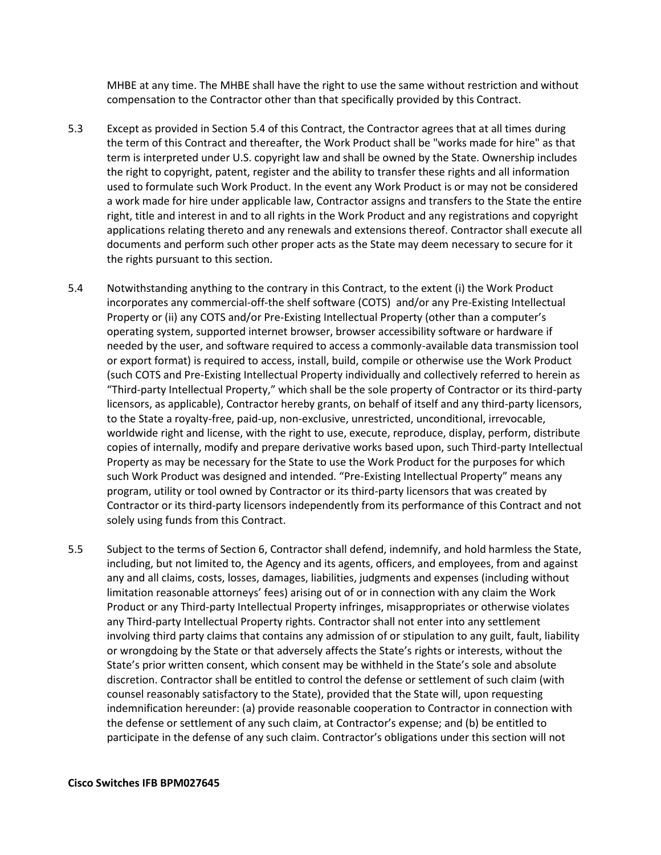MHBE at any time. The MHBE shall have the right to use the same without restriction and without compensation to the Contractor other than that specifically provided by this Contract.

- 5.3 Except as provided in Section 5.4 of this Contract, the Contractor agrees that at all times during the term of this Contract and thereafter, the Work Product shall be "works made for hire" as that term is interpreted under U.S. copyright law and shall be owned by the State. Ownership includes the right to copyright, patent, register and the ability to transfer these rights and all information used to formulate such Work Product. In the event any Work Product is or may not be considered a work made for hire under applicable law, Contractor assigns and transfers to the State the entire right, title and interest in and to all rights in the Work Product and any registrations and copyright applications relating thereto and any renewals and extensions thereof. Contractor shall execute all documents and perform such other proper acts as the State may deem necessary to secure for it the rights pursuant to this section.
- 5.4 Notwithstanding anything to the contrary in this Contract, to the extent (i) the Work Product incorporates any commercial-off-the shelf software (COTS) and/or any Pre-Existing Intellectual Property or (ii) any COTS and/or Pre-Existing Intellectual Property (other than a computer's operating system, supported internet browser, browser accessibility software or hardware if needed by the user, and software required to access a commonly-available data transmission tool or export format) is required to access, install, build, compile or otherwise use the Work Product (such COTS and Pre-Existing Intellectual Property individually and collectively referred to herein as "Third-party Intellectual Property," which shall be the sole property of Contractor or its third-party licensors, as applicable), Contractor hereby grants, on behalf of itself and any third-party licensors, to the State a royalty-free, paid-up, non-exclusive, unrestricted, unconditional, irrevocable, worldwide right and license, with the right to use, execute, reproduce, display, perform, distribute copies of internally, modify and prepare derivative works based upon, such Third-party Intellectual Property as may be necessary for the State to use the Work Product for the purposes for which such Work Product was designed and intended. "Pre-Existing Intellectual Property" means any program, utility or tool owned by Contractor or its third-party licensors that was created by Contractor or its third-party licensors independently from its performance of this Contract and not solely using funds from this Contract.
- 5.5 Subject to the terms of Section 6, Contractor shall defend, indemnify, and hold harmless the State, including, but not limited to, the Agency and its agents, officers, and employees, from and against any and all claims, costs, losses, damages, liabilities, judgments and expenses (including without limitation reasonable attorneys' fees) arising out of or in connection with any claim the Work Product or any Third-party Intellectual Property infringes, misappropriates or otherwise violates any Third-party Intellectual Property rights. Contractor shall not enter into any settlement involving third party claims that contains any admission of or stipulation to any guilt, fault, liability or wrongdoing by the State or that adversely affects the State's rights or interests, without the State's prior written consent, which consent may be withheld in the State's sole and absolute discretion. Contractor shall be entitled to control the defense or settlement of such claim (with counsel reasonably satisfactory to the State), provided that the State will, upon requesting indemnification hereunder: (a) provide reasonable cooperation to Contractor in connection with the defense or settlement of any such claim, at Contractor's expense; and (b) be entitled to participate in the defense of any such claim. Contractor's obligations under this section will not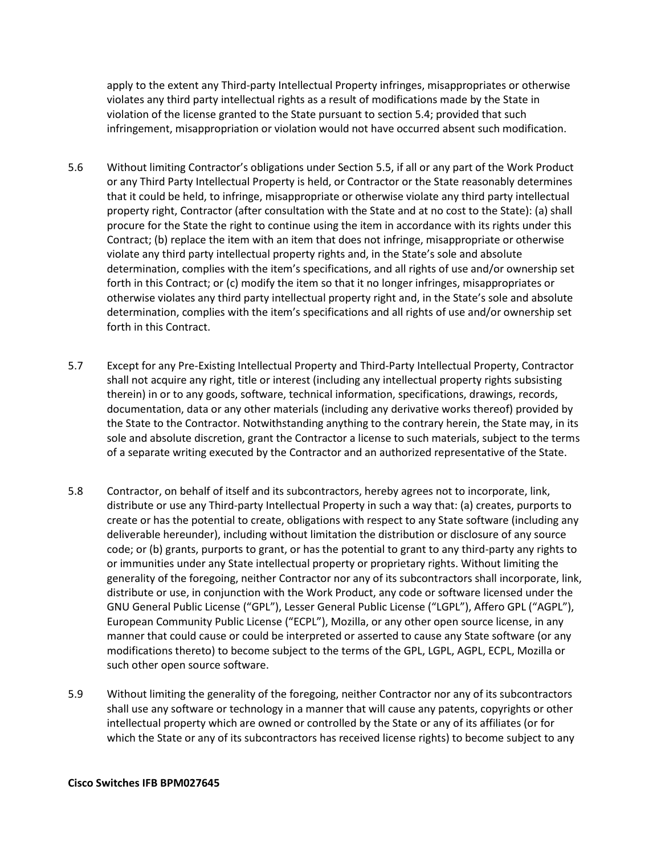apply to the extent any Third-party Intellectual Property infringes, misappropriates or otherwise violates any third party intellectual rights as a result of modifications made by the State in violation of the license granted to the State pursuant to section 5.4; provided that such infringement, misappropriation or violation would not have occurred absent such modification.

- 5.6 Without limiting Contractor's obligations under Section 5.5, if all or any part of the Work Product or any Third Party Intellectual Property is held, or Contractor or the State reasonably determines that it could be held, to infringe, misappropriate or otherwise violate any third party intellectual property right, Contractor (after consultation with the State and at no cost to the State): (a) shall procure for the State the right to continue using the item in accordance with its rights under this Contract; (b) replace the item with an item that does not infringe, misappropriate or otherwise violate any third party intellectual property rights and, in the State's sole and absolute determination, complies with the item's specifications, and all rights of use and/or ownership set forth in this Contract; or (c) modify the item so that it no longer infringes, misappropriates or otherwise violates any third party intellectual property right and, in the State's sole and absolute determination, complies with the item's specifications and all rights of use and/or ownership set forth in this Contract.
- 5.7 Except for any Pre-Existing Intellectual Property and Third-Party Intellectual Property, Contractor shall not acquire any right, title or interest (including any intellectual property rights subsisting therein) in or to any goods, software, technical information, specifications, drawings, records, documentation, data or any other materials (including any derivative works thereof) provided by the State to the Contractor. Notwithstanding anything to the contrary herein, the State may, in its sole and absolute discretion, grant the Contractor a license to such materials, subject to the terms of a separate writing executed by the Contractor and an authorized representative of the State.
- 5.8 Contractor, on behalf of itself and its subcontractors, hereby agrees not to incorporate, link, distribute or use any Third-party Intellectual Property in such a way that: (a) creates, purports to create or has the potential to create, obligations with respect to any State software (including any deliverable hereunder), including without limitation the distribution or disclosure of any source code; or (b) grants, purports to grant, or has the potential to grant to any third-party any rights to or immunities under any State intellectual property or proprietary rights. Without limiting the generality of the foregoing, neither Contractor nor any of its subcontractors shall incorporate, link, distribute or use, in conjunction with the Work Product, any code or software licensed under the GNU General Public License ("GPL"), Lesser General Public License ("LGPL"), Affero GPL ("AGPL"), European Community Public License ("ECPL"), Mozilla, or any other open source license, in any manner that could cause or could be interpreted or asserted to cause any State software (or any modifications thereto) to become subject to the terms of the GPL, LGPL, AGPL, ECPL, Mozilla or such other open source software.
- 5.9 Without limiting the generality of the foregoing, neither Contractor nor any of its subcontractors shall use any software or technology in a manner that will cause any patents, copyrights or other intellectual property which are owned or controlled by the State or any of its affiliates (or for which the State or any of its subcontractors has received license rights) to become subject to any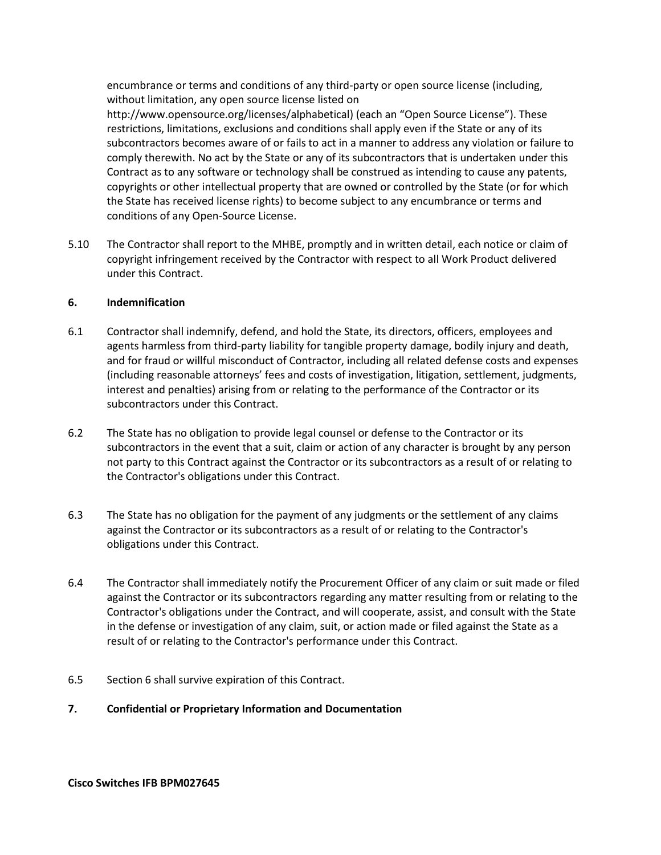encumbrance or terms and conditions of any third-party or open source license (including, without limitation, any open source license listed on

http://www.opensource.org/licenses/alphabetical) (each an "Open Source License"). These restrictions, limitations, exclusions and conditions shall apply even if the State or any of its subcontractors becomes aware of or fails to act in a manner to address any violation or failure to comply therewith. No act by the State or any of its subcontractors that is undertaken under this Contract as to any software or technology shall be construed as intending to cause any patents, copyrights or other intellectual property that are owned or controlled by the State (or for which the State has received license rights) to become subject to any encumbrance or terms and conditions of any Open-Source License.

5.10 The Contractor shall report to the MHBE, promptly and in written detail, each notice or claim of copyright infringement received by the Contractor with respect to all Work Product delivered under this Contract.

### **6. Indemnification**

- 6.1 Contractor shall indemnify, defend, and hold the State, its directors, officers, employees and agents harmless from third-party liability for tangible property damage, bodily injury and death, and for fraud or willful misconduct of Contractor, including all related defense costs and expenses (including reasonable attorneys' fees and costs of investigation, litigation, settlement, judgments, interest and penalties) arising from or relating to the performance of the Contractor or its subcontractors under this Contract.
- 6.2 The State has no obligation to provide legal counsel or defense to the Contractor or its subcontractors in the event that a suit, claim or action of any character is brought by any person not party to this Contract against the Contractor or its subcontractors as a result of or relating to the Contractor's obligations under this Contract.
- 6.3 The State has no obligation for the payment of any judgments or the settlement of any claims against the Contractor or its subcontractors as a result of or relating to the Contractor's obligations under this Contract.
- 6.4 The Contractor shall immediately notify the Procurement Officer of any claim or suit made or filed against the Contractor or its subcontractors regarding any matter resulting from or relating to the Contractor's obligations under the Contract, and will cooperate, assist, and consult with the State in the defense or investigation of any claim, suit, or action made or filed against the State as a result of or relating to the Contractor's performance under this Contract.
- 6.5 Section 6 shall survive expiration of this Contract.
- **7. Confidential or Proprietary Information and Documentation**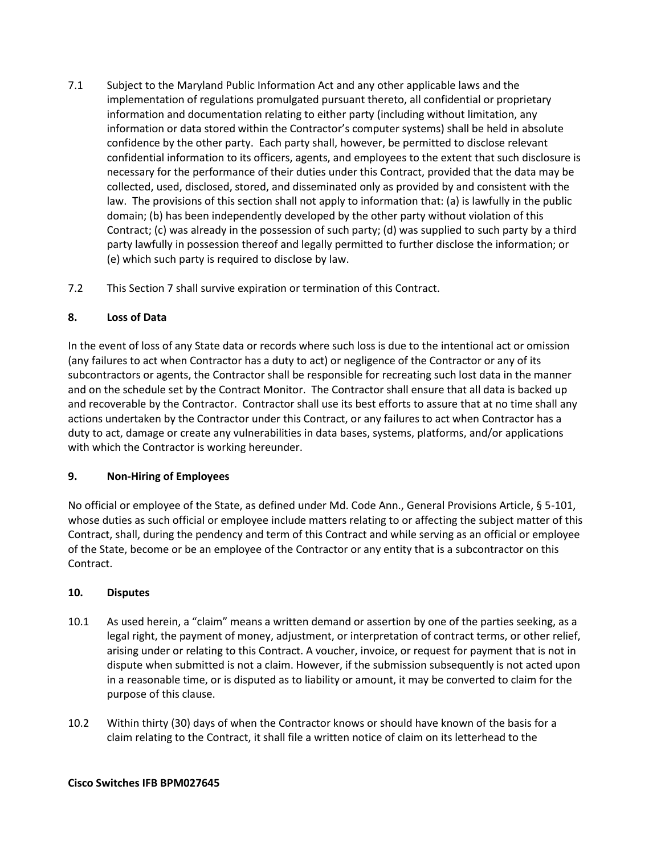- 7.1 Subject to the Maryland Public Information Act and any other applicable laws and the implementation of regulations promulgated pursuant thereto, all confidential or proprietary information and documentation relating to either party (including without limitation, any information or data stored within the Contractor's computer systems) shall be held in absolute confidence by the other party. Each party shall, however, be permitted to disclose relevant confidential information to its officers, agents, and employees to the extent that such disclosure is necessary for the performance of their duties under this Contract, provided that the data may be collected, used, disclosed, stored, and disseminated only as provided by and consistent with the law. The provisions of this section shall not apply to information that: (a) is lawfully in the public domain; (b) has been independently developed by the other party without violation of this Contract; (c) was already in the possession of such party; (d) was supplied to such party by a third party lawfully in possession thereof and legally permitted to further disclose the information; or (e) which such party is required to disclose by law.
- 7.2 This Section 7 shall survive expiration or termination of this Contract.

## **8. Loss of Data**

In the event of loss of any State data or records where such loss is due to the intentional act or omission (any failures to act when Contractor has a duty to act) or negligence of the Contractor or any of its subcontractors or agents, the Contractor shall be responsible for recreating such lost data in the manner and on the schedule set by the Contract Monitor. The Contractor shall ensure that all data is backed up and recoverable by the Contractor. Contractor shall use its best efforts to assure that at no time shall any actions undertaken by the Contractor under this Contract, or any failures to act when Contractor has a duty to act, damage or create any vulnerabilities in data bases, systems, platforms, and/or applications with which the Contractor is working hereunder.

# **9. Non-Hiring of Employees**

No official or employee of the State, as defined under Md. Code Ann., General Provisions Article, § 5-101, whose duties as such official or employee include matters relating to or affecting the subject matter of this Contract, shall, during the pendency and term of this Contract and while serving as an official or employee of the State, become or be an employee of the Contractor or any entity that is a subcontractor on this Contract.

### **10. Disputes**

- 10.1 As used herein, a "claim" means a written demand or assertion by one of the parties seeking, as a legal right, the payment of money, adjustment, or interpretation of contract terms, or other relief, arising under or relating to this Contract. A voucher, invoice, or request for payment that is not in dispute when submitted is not a claim. However, if the submission subsequently is not acted upon in a reasonable time, or is disputed as to liability or amount, it may be converted to claim for the purpose of this clause.
- 10.2 Within thirty (30) days of when the Contractor knows or should have known of the basis for a claim relating to the Contract, it shall file a written notice of claim on its letterhead to the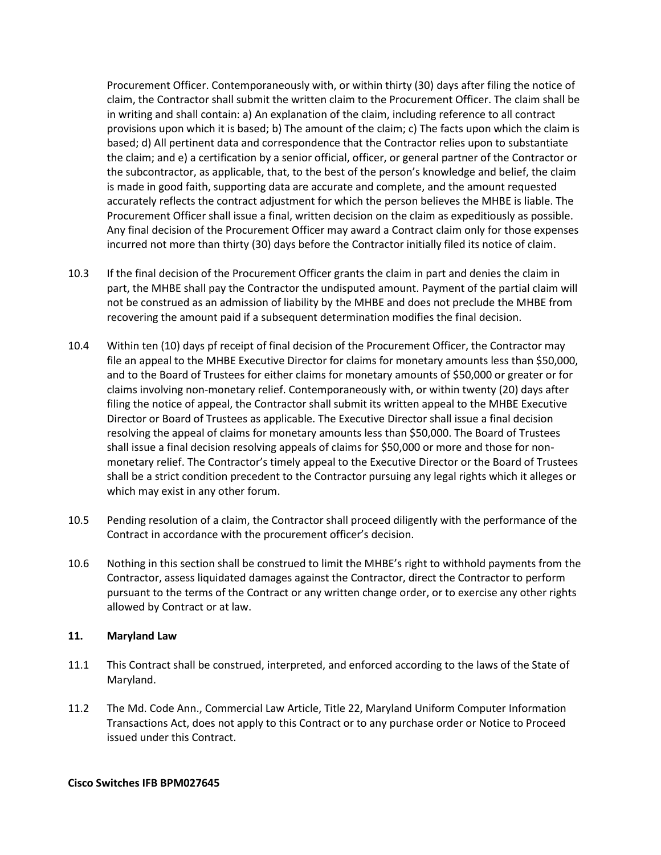Procurement Officer. Contemporaneously with, or within thirty (30) days after filing the notice of claim, the Contractor shall submit the written claim to the Procurement Officer. The claim shall be in writing and shall contain: a) An explanation of the claim, including reference to all contract provisions upon which it is based; b) The amount of the claim; c) The facts upon which the claim is based; d) All pertinent data and correspondence that the Contractor relies upon to substantiate the claim; and e) a certification by a senior official, officer, or general partner of the Contractor or the subcontractor, as applicable, that, to the best of the person's knowledge and belief, the claim is made in good faith, supporting data are accurate and complete, and the amount requested accurately reflects the contract adjustment for which the person believes the MHBE is liable. The Procurement Officer shall issue a final, written decision on the claim as expeditiously as possible. Any final decision of the Procurement Officer may award a Contract claim only for those expenses incurred not more than thirty (30) days before the Contractor initially filed its notice of claim.

- 10.3 If the final decision of the Procurement Officer grants the claim in part and denies the claim in part, the MHBE shall pay the Contractor the undisputed amount. Payment of the partial claim will not be construed as an admission of liability by the MHBE and does not preclude the MHBE from recovering the amount paid if a subsequent determination modifies the final decision.
- 10.4 Within ten (10) days pf receipt of final decision of the Procurement Officer, the Contractor may file an appeal to the MHBE Executive Director for claims for monetary amounts less than \$50,000, and to the Board of Trustees for either claims for monetary amounts of \$50,000 or greater or for claims involving non-monetary relief. Contemporaneously with, or within twenty (20) days after filing the notice of appeal, the Contractor shall submit its written appeal to the MHBE Executive Director or Board of Trustees as applicable. The Executive Director shall issue a final decision resolving the appeal of claims for monetary amounts less than \$50,000. The Board of Trustees shall issue a final decision resolving appeals of claims for \$50,000 or more and those for nonmonetary relief. The Contractor's timely appeal to the Executive Director or the Board of Trustees shall be a strict condition precedent to the Contractor pursuing any legal rights which it alleges or which may exist in any other forum.
- 10.5 Pending resolution of a claim, the Contractor shall proceed diligently with the performance of the Contract in accordance with the procurement officer's decision.
- 10.6 Nothing in this section shall be construed to limit the MHBE's right to withhold payments from the Contractor, assess liquidated damages against the Contractor, direct the Contractor to perform pursuant to the terms of the Contract or any written change order, or to exercise any other rights allowed by Contract or at law.

### **11. Maryland Law**

- 11.1 This Contract shall be construed, interpreted, and enforced according to the laws of the State of Maryland.
- 11.2 The Md. Code Ann., Commercial Law Article, Title 22, Maryland Uniform Computer Information Transactions Act, does not apply to this Contract or to any purchase order or Notice to Proceed issued under this Contract.

#### **Cisco Switches IFB BPM027645**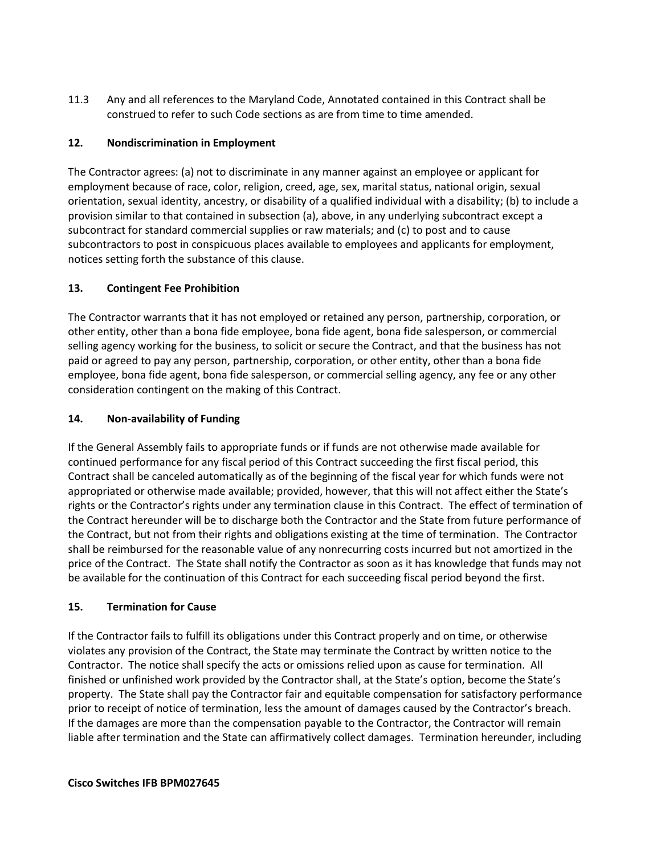11.3 Any and all references to the Maryland Code, Annotated contained in this Contract shall be construed to refer to such Code sections as are from time to time amended.

# **12. Nondiscrimination in Employment**

The Contractor agrees: (a) not to discriminate in any manner against an employee or applicant for employment because of race, color, religion, creed, age, sex, marital status, national origin, sexual orientation, sexual identity, ancestry, or disability of a qualified individual with a disability; (b) to include a provision similar to that contained in subsection (a), above, in any underlying subcontract except a subcontract for standard commercial supplies or raw materials; and (c) to post and to cause subcontractors to post in conspicuous places available to employees and applicants for employment, notices setting forth the substance of this clause.

## **13. Contingent Fee Prohibition**

The Contractor warrants that it has not employed or retained any person, partnership, corporation, or other entity, other than a bona fide employee, bona fide agent, bona fide salesperson, or commercial selling agency working for the business, to solicit or secure the Contract, and that the business has not paid or agreed to pay any person, partnership, corporation, or other entity, other than a bona fide employee, bona fide agent, bona fide salesperson, or commercial selling agency, any fee or any other consideration contingent on the making of this Contract.

## **14. Non-availability of Funding**

If the General Assembly fails to appropriate funds or if funds are not otherwise made available for continued performance for any fiscal period of this Contract succeeding the first fiscal period, this Contract shall be canceled automatically as of the beginning of the fiscal year for which funds were not appropriated or otherwise made available; provided, however, that this will not affect either the State's rights or the Contractor's rights under any termination clause in this Contract. The effect of termination of the Contract hereunder will be to discharge both the Contractor and the State from future performance of the Contract, but not from their rights and obligations existing at the time of termination. The Contractor shall be reimbursed for the reasonable value of any nonrecurring costs incurred but not amortized in the price of the Contract. The State shall notify the Contractor as soon as it has knowledge that funds may not be available for the continuation of this Contract for each succeeding fiscal period beyond the first.

### **15. Termination for Cause**

If the Contractor fails to fulfill its obligations under this Contract properly and on time, or otherwise violates any provision of the Contract, the State may terminate the Contract by written notice to the Contractor. The notice shall specify the acts or omissions relied upon as cause for termination. All finished or unfinished work provided by the Contractor shall, at the State's option, become the State's property. The State shall pay the Contractor fair and equitable compensation for satisfactory performance prior to receipt of notice of termination, less the amount of damages caused by the Contractor's breach. If the damages are more than the compensation payable to the Contractor, the Contractor will remain liable after termination and the State can affirmatively collect damages. Termination hereunder, including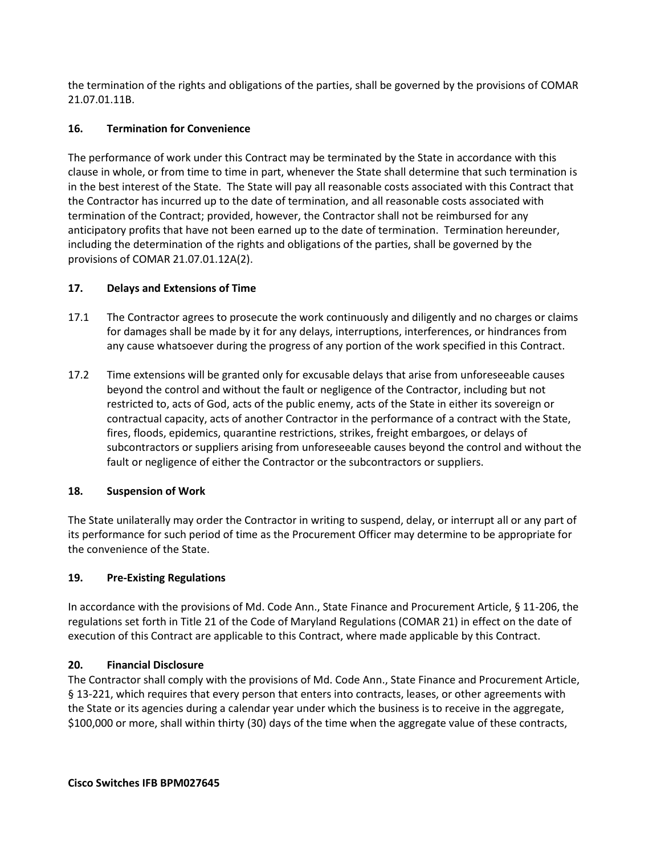the termination of the rights and obligations of the parties, shall be governed by the provisions of COMAR 21.07.01.11B.

## **16. Termination for Convenience**

The performance of work under this Contract may be terminated by the State in accordance with this clause in whole, or from time to time in part, whenever the State shall determine that such termination is in the best interest of the State. The State will pay all reasonable costs associated with this Contract that the Contractor has incurred up to the date of termination, and all reasonable costs associated with termination of the Contract; provided, however, the Contractor shall not be reimbursed for any anticipatory profits that have not been earned up to the date of termination. Termination hereunder, including the determination of the rights and obligations of the parties, shall be governed by the provisions of COMAR 21.07.01.12A(2).

## **17. Delays and Extensions of Time**

- 17.1 The Contractor agrees to prosecute the work continuously and diligently and no charges or claims for damages shall be made by it for any delays, interruptions, interferences, or hindrances from any cause whatsoever during the progress of any portion of the work specified in this Contract.
- 17.2 Time extensions will be granted only for excusable delays that arise from unforeseeable causes beyond the control and without the fault or negligence of the Contractor, including but not restricted to, acts of God, acts of the public enemy, acts of the State in either its sovereign or contractual capacity, acts of another Contractor in the performance of a contract with the State, fires, floods, epidemics, quarantine restrictions, strikes, freight embargoes, or delays of subcontractors or suppliers arising from unforeseeable causes beyond the control and without the fault or negligence of either the Contractor or the subcontractors or suppliers.

### **18. Suspension of Work**

The State unilaterally may order the Contractor in writing to suspend, delay, or interrupt all or any part of its performance for such period of time as the Procurement Officer may determine to be appropriate for the convenience of the State.

### **19. Pre-Existing Regulations**

In accordance with the provisions of Md. Code Ann., State Finance and Procurement Article, § 11-206, the regulations set forth in Title 21 of the Code of Maryland Regulations (COMAR 21) in effect on the date of execution of this Contract are applicable to this Contract, where made applicable by this Contract.

### **20. Financial Disclosure**

The Contractor shall comply with the provisions of Md. Code Ann., State Finance and Procurement Article, § 13-221, which requires that every person that enters into contracts, leases, or other agreements with the State or its agencies during a calendar year under which the business is to receive in the aggregate, \$100,000 or more, shall within thirty (30) days of the time when the aggregate value of these contracts,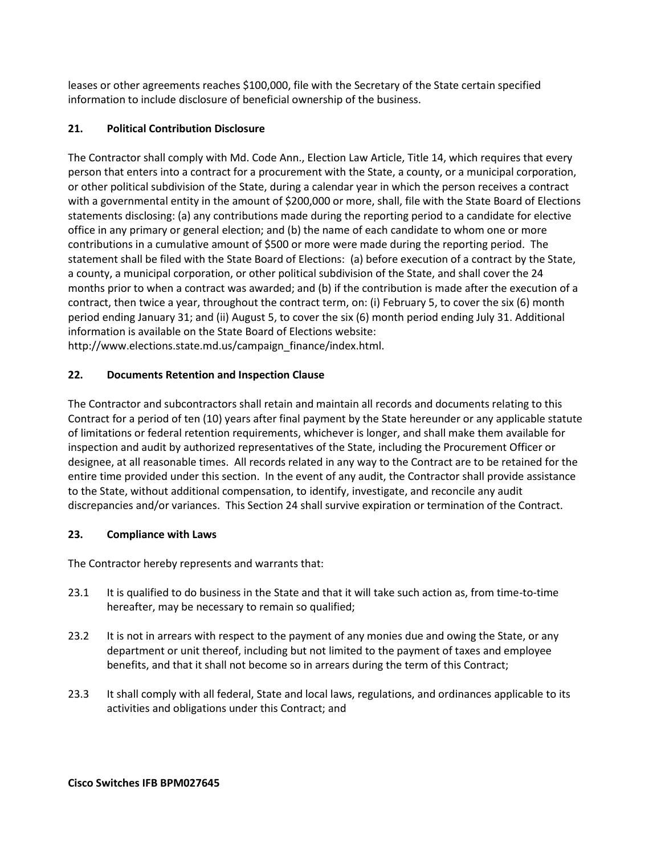leases or other agreements reaches \$100,000, file with the Secretary of the State certain specified information to include disclosure of beneficial ownership of the business.

# **21. Political Contribution Disclosure**

The Contractor shall comply with Md. Code Ann., Election Law Article, Title 14, which requires that every person that enters into a contract for a procurement with the State, a county, or a municipal corporation, or other political subdivision of the State, during a calendar year in which the person receives a contract with a governmental entity in the amount of \$200,000 or more, shall, file with the State Board of Elections statements disclosing: (a) any contributions made during the reporting period to a candidate for elective office in any primary or general election; and (b) the name of each candidate to whom one or more contributions in a cumulative amount of \$500 or more were made during the reporting period. The statement shall be filed with the State Board of Elections: (a) before execution of a contract by the State, a county, a municipal corporation, or other political subdivision of the State, and shall cover the 24 months prior to when a contract was awarded; and (b) if the contribution is made after the execution of a contract, then twice a year, throughout the contract term, on: (i) February 5, to cover the six (6) month period ending January 31; and (ii) August 5, to cover the six (6) month period ending July 31. Additional information is available on the State Board of Elections website: http://www.elections.state.md.us/campaign\_finance/index.html.

# **22. Documents Retention and Inspection Clause**

The Contractor and subcontractors shall retain and maintain all records and documents relating to this Contract for a period of ten (10) years after final payment by the State hereunder or any applicable statute of limitations or federal retention requirements, whichever is longer, and shall make them available for inspection and audit by authorized representatives of the State, including the Procurement Officer or designee, at all reasonable times. All records related in any way to the Contract are to be retained for the entire time provided under this section. In the event of any audit, the Contractor shall provide assistance to the State, without additional compensation, to identify, investigate, and reconcile any audit discrepancies and/or variances. This Section 24 shall survive expiration or termination of the Contract.

# **23. Compliance with Laws**

The Contractor hereby represents and warrants that:

- 23.1 It is qualified to do business in the State and that it will take such action as, from time-to-time hereafter, may be necessary to remain so qualified;
- 23.2 It is not in arrears with respect to the payment of any monies due and owing the State, or any department or unit thereof, including but not limited to the payment of taxes and employee benefits, and that it shall not become so in arrears during the term of this Contract;
- 23.3 It shall comply with all federal, State and local laws, regulations, and ordinances applicable to its activities and obligations under this Contract; and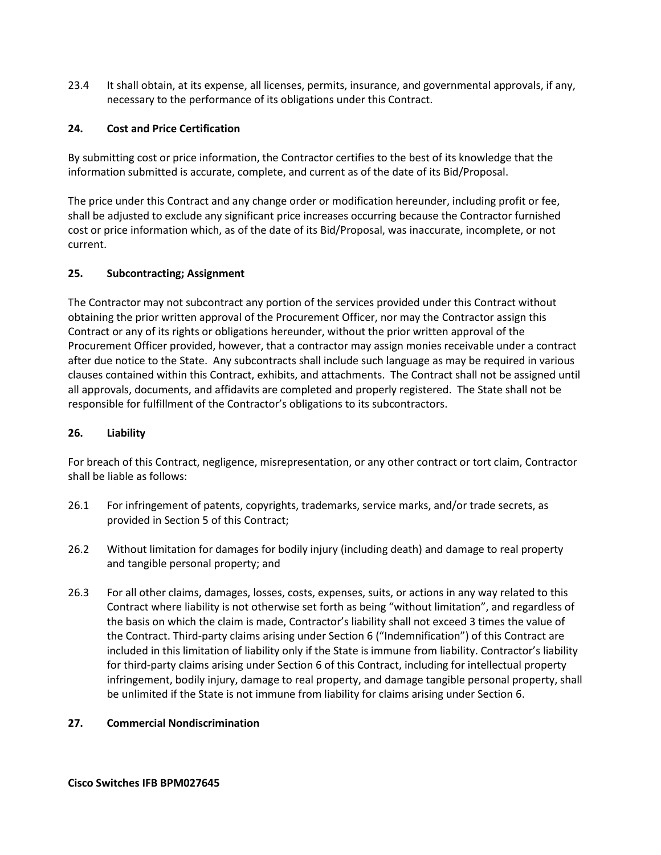23.4 It shall obtain, at its expense, all licenses, permits, insurance, and governmental approvals, if any, necessary to the performance of its obligations under this Contract.

### **24. Cost and Price Certification**

By submitting cost or price information, the Contractor certifies to the best of its knowledge that the information submitted is accurate, complete, and current as of the date of its Bid/Proposal.

The price under this Contract and any change order or modification hereunder, including profit or fee, shall be adjusted to exclude any significant price increases occurring because the Contractor furnished cost or price information which, as of the date of its Bid/Proposal, was inaccurate, incomplete, or not current.

## **25. Subcontracting; Assignment**

The Contractor may not subcontract any portion of the services provided under this Contract without obtaining the prior written approval of the Procurement Officer, nor may the Contractor assign this Contract or any of its rights or obligations hereunder, without the prior written approval of the Procurement Officer provided, however, that a contractor may assign monies receivable under a contract after due notice to the State. Any subcontracts shall include such language as may be required in various clauses contained within this Contract, exhibits, and attachments. The Contract shall not be assigned until all approvals, documents, and affidavits are completed and properly registered. The State shall not be responsible for fulfillment of the Contractor's obligations to its subcontractors.

## **26. Liability**

For breach of this Contract, negligence, misrepresentation, or any other contract or tort claim, Contractor shall be liable as follows:

- 26.1 For infringement of patents, copyrights, trademarks, service marks, and/or trade secrets, as provided in Section 5 of this Contract;
- 26.2 Without limitation for damages for bodily injury (including death) and damage to real property and tangible personal property; and
- 26.3 For all other claims, damages, losses, costs, expenses, suits, or actions in any way related to this Contract where liability is not otherwise set forth as being "without limitation", and regardless of the basis on which the claim is made, Contractor's liability shall not exceed 3 times the value of the Contract. Third-party claims arising under Section 6 ("Indemnification") of this Contract are included in this limitation of liability only if the State is immune from liability. Contractor's liability for third-party claims arising under Section 6 of this Contract, including for intellectual property infringement, bodily injury, damage to real property, and damage tangible personal property, shall be unlimited if the State is not immune from liability for claims arising under Section 6.

### **27. Commercial Nondiscrimination**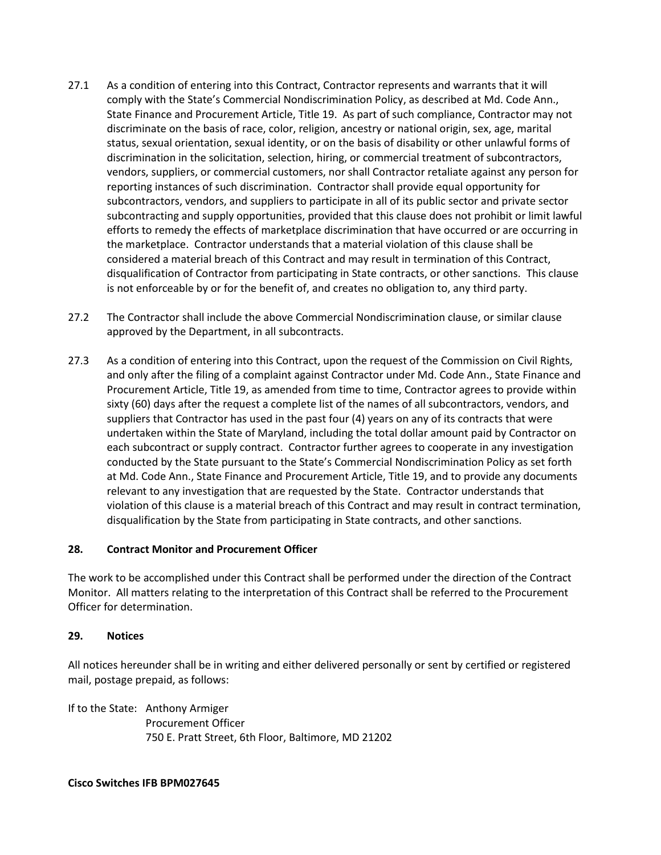- 27.1 As a condition of entering into this Contract, Contractor represents and warrants that it will comply with the State's Commercial Nondiscrimination Policy, as described at Md. Code Ann., State Finance and Procurement Article, Title 19. As part of such compliance, Contractor may not discriminate on the basis of race, color, religion, ancestry or national origin, sex, age, marital status, sexual orientation, sexual identity, or on the basis of disability or other unlawful forms of discrimination in the solicitation, selection, hiring, or commercial treatment of subcontractors, vendors, suppliers, or commercial customers, nor shall Contractor retaliate against any person for reporting instances of such discrimination. Contractor shall provide equal opportunity for subcontractors, vendors, and suppliers to participate in all of its public sector and private sector subcontracting and supply opportunities, provided that this clause does not prohibit or limit lawful efforts to remedy the effects of marketplace discrimination that have occurred or are occurring in the marketplace. Contractor understands that a material violation of this clause shall be considered a material breach of this Contract and may result in termination of this Contract, disqualification of Contractor from participating in State contracts, or other sanctions. This clause is not enforceable by or for the benefit of, and creates no obligation to, any third party.
- 27.2 The Contractor shall include the above Commercial Nondiscrimination clause, or similar clause approved by the Department, in all subcontracts.
- 27.3 As a condition of entering into this Contract, upon the request of the Commission on Civil Rights, and only after the filing of a complaint against Contractor under Md. Code Ann., State Finance and Procurement Article, Title 19, as amended from time to time, Contractor agrees to provide within sixty (60) days after the request a complete list of the names of all subcontractors, vendors, and suppliers that Contractor has used in the past four (4) years on any of its contracts that were undertaken within the State of Maryland, including the total dollar amount paid by Contractor on each subcontract or supply contract. Contractor further agrees to cooperate in any investigation conducted by the State pursuant to the State's Commercial Nondiscrimination Policy as set forth at Md. Code Ann., State Finance and Procurement Article, Title 19, and to provide any documents relevant to any investigation that are requested by the State. Contractor understands that violation of this clause is a material breach of this Contract and may result in contract termination, disqualification by the State from participating in State contracts, and other sanctions.

### **28. Contract Monitor and Procurement Officer**

The work to be accomplished under this Contract shall be performed under the direction of the Contract Monitor. All matters relating to the interpretation of this Contract shall be referred to the Procurement Officer for determination.

### **29. Notices**

All notices hereunder shall be in writing and either delivered personally or sent by certified or registered mail, postage prepaid, as follows:

If to the State: Anthony Armiger Procurement Officer 750 E. Pratt Street, 6th Floor, Baltimore, MD 21202

### **Cisco Switches IFB BPM027645**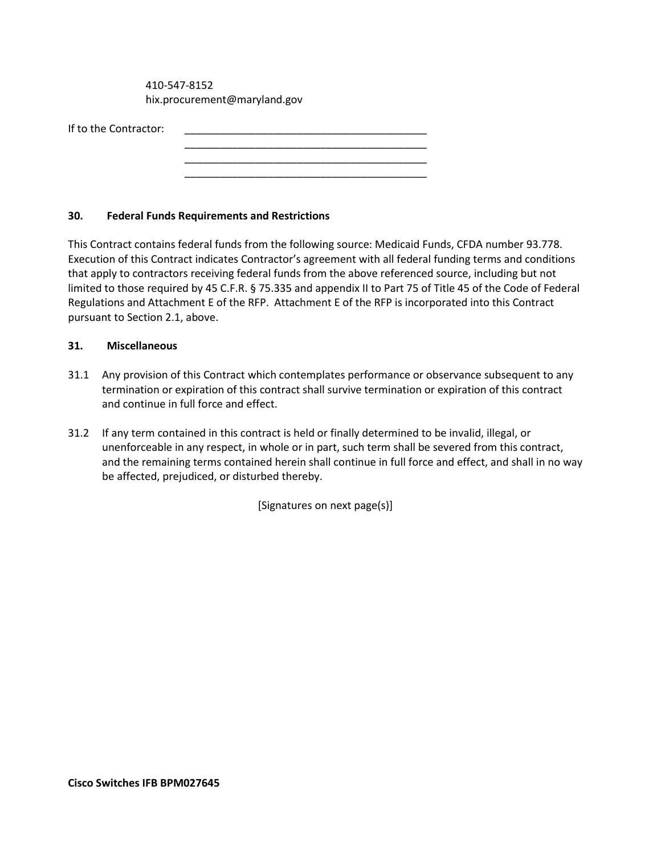410-547-8152 hix.procurement@maryland.gov

| If to the Contractor: |  |
|-----------------------|--|
|                       |  |

### **30. Federal Funds Requirements and Restrictions**

This Contract contains federal funds from the following source: Medicaid Funds, CFDA number 93.778. Execution of this Contract indicates Contractor's agreement with all federal funding terms and conditions that apply to contractors receiving federal funds from the above referenced source, including but not limited to those required by 45 C.F.R. § 75.335 and appendix II to Part 75 of Title 45 of the Code of Federal Regulations and Attachment E of the RFP. Attachment E of the RFP is incorporated into this Contract pursuant to Section 2.1, above.

\_\_\_\_\_\_\_\_\_\_\_\_\_\_\_\_\_\_\_\_\_\_\_\_\_\_\_\_\_\_\_\_\_\_\_\_\_\_\_\_\_ \_\_\_\_\_\_\_\_\_\_\_\_\_\_\_\_\_\_\_\_\_\_\_\_\_\_\_\_\_\_\_\_\_\_\_\_\_\_\_\_\_

### **31. Miscellaneous**

- 31.1 Any provision of this Contract which contemplates performance or observance subsequent to any termination or expiration of this contract shall survive termination or expiration of this contract and continue in full force and effect.
- 31.2 If any term contained in this contract is held or finally determined to be invalid, illegal, or unenforceable in any respect, in whole or in part, such term shall be severed from this contract, and the remaining terms contained herein shall continue in full force and effect, and shall in no way be affected, prejudiced, or disturbed thereby.

[Signatures on next page(s)]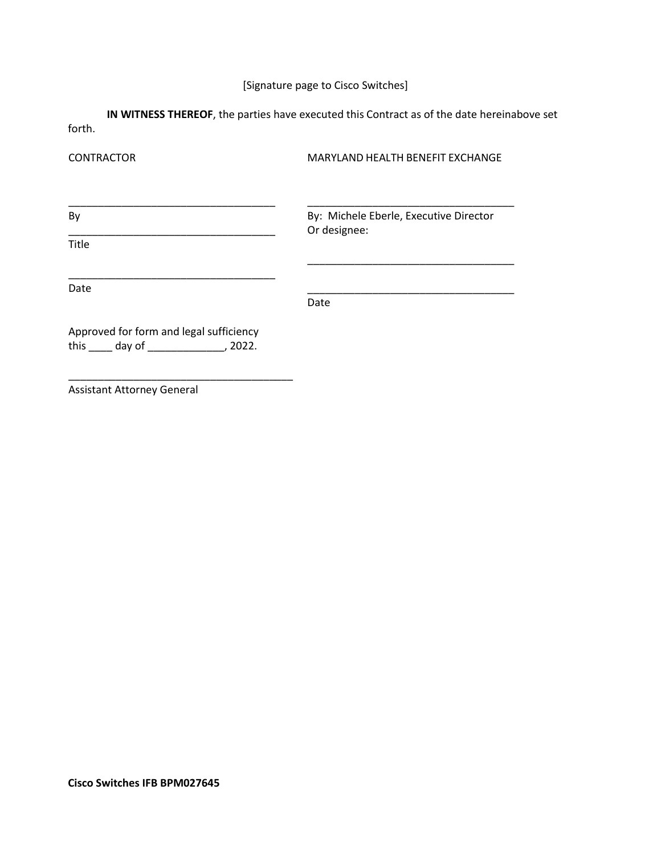# [Signature page to Cisco Switches]

**IN WITNESS THEREOF**, the parties have executed this Contract as of the date hereinabove set forth.

| <b>CONTRACTOR</b>                                                                            | MARYLAND HEALTH BENEFIT EXCHANGE                       |  |  |
|----------------------------------------------------------------------------------------------|--------------------------------------------------------|--|--|
| By                                                                                           | By: Michele Eberle, Executive Director<br>Or designee: |  |  |
| <b>Title</b>                                                                                 |                                                        |  |  |
| Date                                                                                         | Date                                                   |  |  |
| Approved for form and legal sufficiency<br>this $\qquad \qquad$ day of $\qquad \qquad$ 2022. |                                                        |  |  |

Assistant Attorney General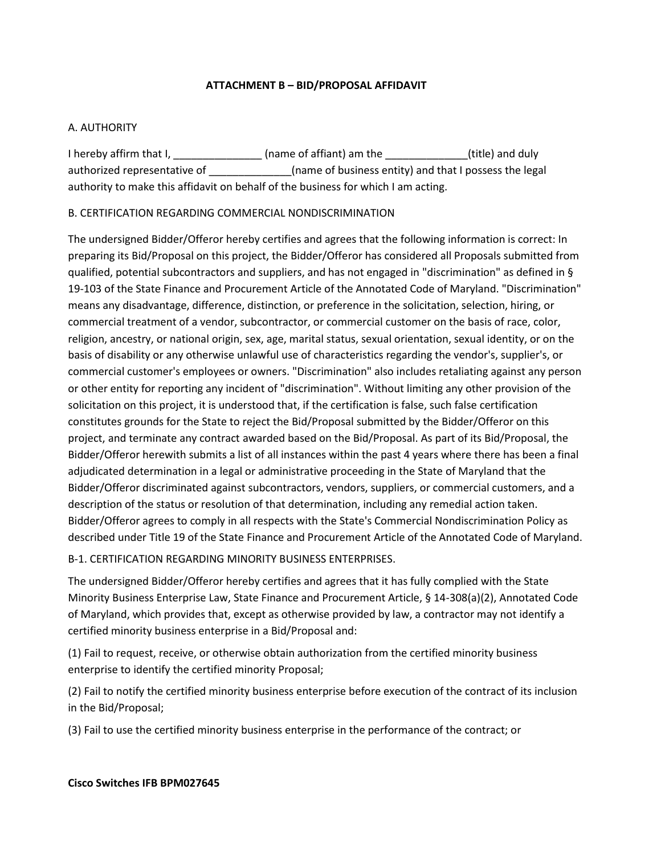### **ATTACHMENT B – BID/PROPOSAL AFFIDAVIT**

### <span id="page-27-0"></span>A. AUTHORITY

I hereby affirm that I, \_\_\_\_\_\_\_\_\_\_\_\_\_\_\_\_\_\_ (name of affiant) am the \_\_\_\_\_\_\_\_\_\_\_\_\_\_\_(title) and duly authorized representative of \_\_\_\_\_\_\_\_\_\_\_\_\_\_\_\_(name of business entity) and that I possess the legal authority to make this affidavit on behalf of the business for which I am acting.

### B. CERTIFICATION REGARDING COMMERCIAL NONDISCRIMINATION

The undersigned Bidder/Offeror hereby certifies and agrees that the following information is correct: In preparing its Bid/Proposal on this project, the Bidder/Offeror has considered all Proposals submitted from qualified, potential subcontractors and suppliers, and has not engaged in "discrimination" as defined in § 19-103 of the State Finance and Procurement Article of the Annotated Code of Maryland. "Discrimination" means any disadvantage, difference, distinction, or preference in the solicitation, selection, hiring, or commercial treatment of a vendor, subcontractor, or commercial customer on the basis of race, color, religion, ancestry, or national origin, sex, age, marital status, sexual orientation, sexual identity, or on the basis of disability or any otherwise unlawful use of characteristics regarding the vendor's, supplier's, or commercial customer's employees or owners. "Discrimination" also includes retaliating against any person or other entity for reporting any incident of "discrimination". Without limiting any other provision of the solicitation on this project, it is understood that, if the certification is false, such false certification constitutes grounds for the State to reject the Bid/Proposal submitted by the Bidder/Offeror on this project, and terminate any contract awarded based on the Bid/Proposal. As part of its Bid/Proposal, the Bidder/Offeror herewith submits a list of all instances within the past 4 years where there has been a final adjudicated determination in a legal or administrative proceeding in the State of Maryland that the Bidder/Offeror discriminated against subcontractors, vendors, suppliers, or commercial customers, and a description of the status or resolution of that determination, including any remedial action taken. Bidder/Offeror agrees to comply in all respects with the State's Commercial Nondiscrimination Policy as described under Title 19 of the State Finance and Procurement Article of the Annotated Code of Maryland.

B-1. CERTIFICATION REGARDING MINORITY BUSINESS ENTERPRISES.

The undersigned Bidder/Offeror hereby certifies and agrees that it has fully complied with the State Minority Business Enterprise Law, State Finance and Procurement Article, § 14-308(a)(2), Annotated Code of Maryland, which provides that, except as otherwise provided by law, a contractor may not identify a certified minority business enterprise in a Bid/Proposal and:

(1) Fail to request, receive, or otherwise obtain authorization from the certified minority business enterprise to identify the certified minority Proposal;

(2) Fail to notify the certified minority business enterprise before execution of the contract of its inclusion in the Bid/Proposal;

(3) Fail to use the certified minority business enterprise in the performance of the contract; or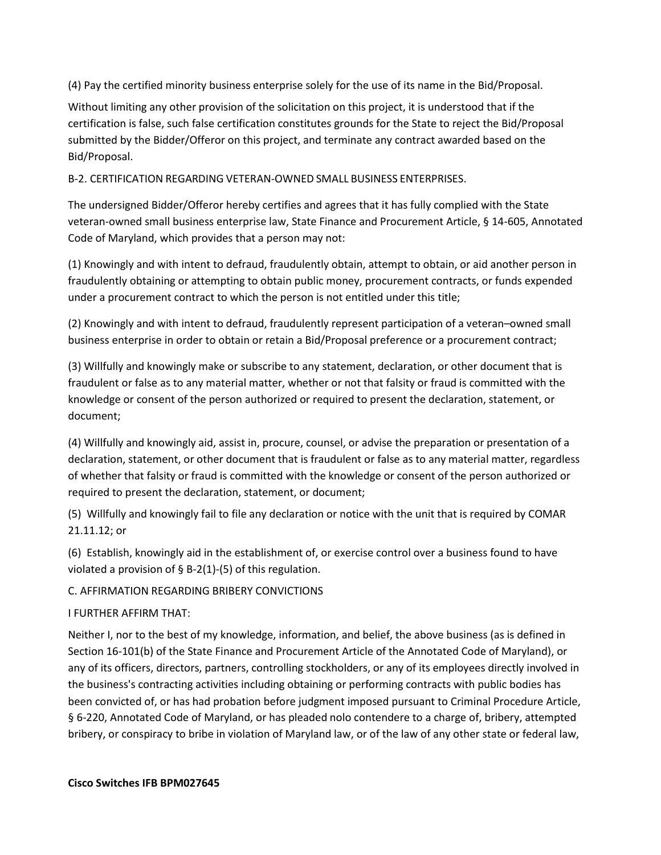(4) Pay the certified minority business enterprise solely for the use of its name in the Bid/Proposal.

Without limiting any other provision of the solicitation on this project, it is understood that if the certification is false, such false certification constitutes grounds for the State to reject the Bid/Proposal submitted by the Bidder/Offeror on this project, and terminate any contract awarded based on the Bid/Proposal.

B-2. CERTIFICATION REGARDING VETERAN-OWNED SMALL BUSINESS ENTERPRISES.

The undersigned Bidder/Offeror hereby certifies and agrees that it has fully complied with the State veteran-owned small business enterprise law, State Finance and Procurement Article, § 14-605, Annotated Code of Maryland, which provides that a person may not:

(1) Knowingly and with intent to defraud, fraudulently obtain, attempt to obtain, or aid another person in fraudulently obtaining or attempting to obtain public money, procurement contracts, or funds expended under a procurement contract to which the person is not entitled under this title;

(2) Knowingly and with intent to defraud, fraudulently represent participation of a veteran–owned small business enterprise in order to obtain or retain a Bid/Proposal preference or a procurement contract;

(3) Willfully and knowingly make or subscribe to any statement, declaration, or other document that is fraudulent or false as to any material matter, whether or not that falsity or fraud is committed with the knowledge or consent of the person authorized or required to present the declaration, statement, or document;

(4) Willfully and knowingly aid, assist in, procure, counsel, or advise the preparation or presentation of a declaration, statement, or other document that is fraudulent or false as to any material matter, regardless of whether that falsity or fraud is committed with the knowledge or consent of the person authorized or required to present the declaration, statement, or document;

(5) Willfully and knowingly fail to file any declaration or notice with the unit that is required by COMAR 21.11.12; or

(6) Establish, knowingly aid in the establishment of, or exercise control over a business found to have violated a provision of  $\S$  B-2(1)-(5) of this regulation.

C. AFFIRMATION REGARDING BRIBERY CONVICTIONS

I FURTHER AFFIRM THAT:

Neither I, nor to the best of my knowledge, information, and belief, the above business (as is defined in Section 16-101(b) of the State Finance and Procurement Article of the Annotated Code of Maryland), or any of its officers, directors, partners, controlling stockholders, or any of its employees directly involved in the business's contracting activities including obtaining or performing contracts with public bodies has been convicted of, or has had probation before judgment imposed pursuant to Criminal Procedure Article, § 6-220, Annotated Code of Maryland, or has pleaded nolo contendere to a charge of, bribery, attempted bribery, or conspiracy to bribe in violation of Maryland law, or of the law of any other state or federal law,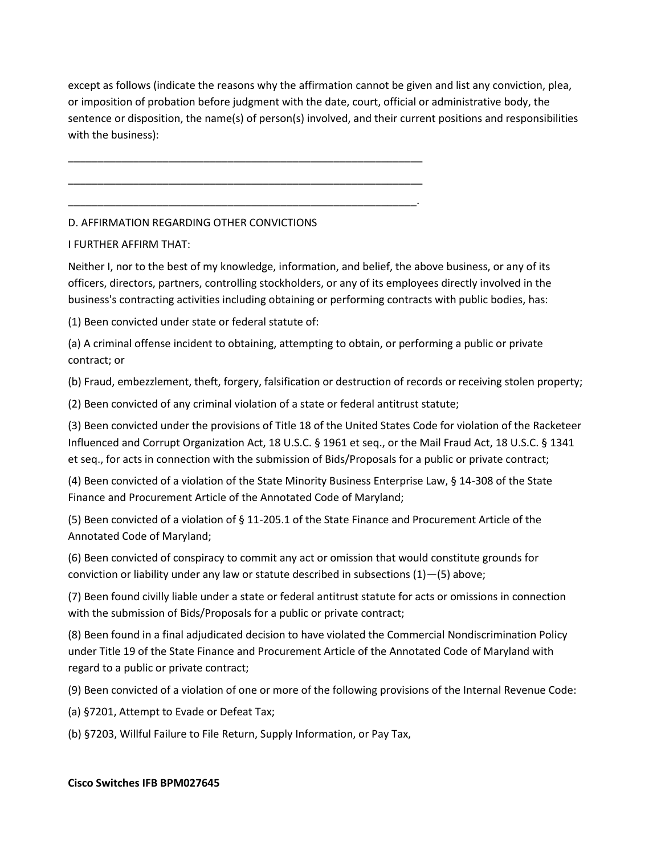except as follows (indicate the reasons why the affirmation cannot be given and list any conviction, plea, or imposition of probation before judgment with the date, court, official or administrative body, the sentence or disposition, the name(s) of person(s) involved, and their current positions and responsibilities with the business):

## D. AFFIRMATION REGARDING OTHER CONVICTIONS

\_\_\_\_\_\_\_\_\_\_\_\_\_\_\_\_\_\_\_\_\_\_\_\_\_\_\_\_\_\_\_\_\_\_\_\_\_\_\_\_\_\_\_\_\_\_\_\_\_\_\_\_\_\_\_\_\_\_\_\_

\_\_\_\_\_\_\_\_\_\_\_\_\_\_\_\_\_\_\_\_\_\_\_\_\_\_\_\_\_\_\_\_\_\_\_\_\_\_\_\_\_\_\_\_\_\_\_\_\_\_\_\_\_\_\_\_\_\_\_\_

\_\_\_\_\_\_\_\_\_\_\_\_\_\_\_\_\_\_\_\_\_\_\_\_\_\_\_\_\_\_\_\_\_\_\_\_\_\_\_\_\_\_\_\_\_\_\_\_\_\_\_\_\_\_\_\_\_\_\_.

### I FURTHER AFFIRM THAT:

Neither I, nor to the best of my knowledge, information, and belief, the above business, or any of its officers, directors, partners, controlling stockholders, or any of its employees directly involved in the business's contracting activities including obtaining or performing contracts with public bodies, has:

(1) Been convicted under state or federal statute of:

(a) A criminal offense incident to obtaining, attempting to obtain, or performing a public or private contract; or

(b) Fraud, embezzlement, theft, forgery, falsification or destruction of records or receiving stolen property;

(2) Been convicted of any criminal violation of a state or federal antitrust statute;

(3) Been convicted under the provisions of Title 18 of the United States Code for violation of the Racketeer Influenced and Corrupt Organization Act, 18 U.S.C. § 1961 et seq., or the Mail Fraud Act, 18 U.S.C. § 1341 et seq., for acts in connection with the submission of Bids/Proposals for a public or private contract;

(4) Been convicted of a violation of the State Minority Business Enterprise Law, § 14-308 of the State Finance and Procurement Article of the Annotated Code of Maryland;

(5) Been convicted of a violation of § 11-205.1 of the State Finance and Procurement Article of the Annotated Code of Maryland;

(6) Been convicted of conspiracy to commit any act or omission that would constitute grounds for conviction or liability under any law or statute described in subsections (1)—(5) above;

(7) Been found civilly liable under a state or federal antitrust statute for acts or omissions in connection with the submission of Bids/Proposals for a public or private contract;

(8) Been found in a final adjudicated decision to have violated the Commercial Nondiscrimination Policy under Title 19 of the State Finance and Procurement Article of the Annotated Code of Maryland with regard to a public or private contract;

(9) Been convicted of a violation of one or more of the following provisions of the Internal Revenue Code:

(a) §7201, Attempt to Evade or Defeat Tax;

(b) §7203, Willful Failure to File Return, Supply Information, or Pay Tax,

### **Cisco Switches IFB BPM027645**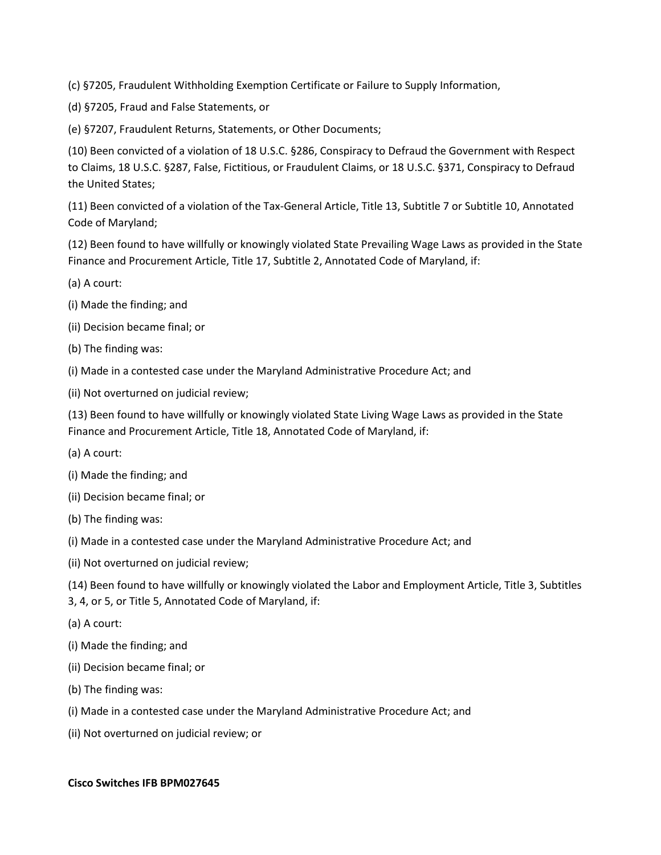(c) §7205, Fraudulent Withholding Exemption Certificate or Failure to Supply Information,

(d) §7205, Fraud and False Statements, or

(e) §7207, Fraudulent Returns, Statements, or Other Documents;

(10) Been convicted of a violation of 18 U.S.C. §286, Conspiracy to Defraud the Government with Respect to Claims, 18 U.S.C. §287, False, Fictitious, or Fraudulent Claims, or 18 U.S.C. §371, Conspiracy to Defraud the United States;

(11) Been convicted of a violation of the Tax-General Article, Title 13, Subtitle 7 or Subtitle 10, Annotated Code of Maryland;

(12) Been found to have willfully or knowingly violated State Prevailing Wage Laws as provided in the State Finance and Procurement Article, Title 17, Subtitle 2, Annotated Code of Maryland, if:

(a) A court:

- (i) Made the finding; and
- (ii) Decision became final; or
- (b) The finding was:
- (i) Made in a contested case under the Maryland Administrative Procedure Act; and
- (ii) Not overturned on judicial review;

(13) Been found to have willfully or knowingly violated State Living Wage Laws as provided in the State Finance and Procurement Article, Title 18, Annotated Code of Maryland, if:

- (a) A court:
- (i) Made the finding; and
- (ii) Decision became final; or
- (b) The finding was:
- (i) Made in a contested case under the Maryland Administrative Procedure Act; and
- (ii) Not overturned on judicial review;

(14) Been found to have willfully or knowingly violated the Labor and Employment Article, Title 3, Subtitles 3, 4, or 5, or Title 5, Annotated Code of Maryland, if:

- (a) A court:
- (i) Made the finding; and
- (ii) Decision became final; or
- (b) The finding was:
- (i) Made in a contested case under the Maryland Administrative Procedure Act; and
- (ii) Not overturned on judicial review; or

### **Cisco Switches IFB BPM027645**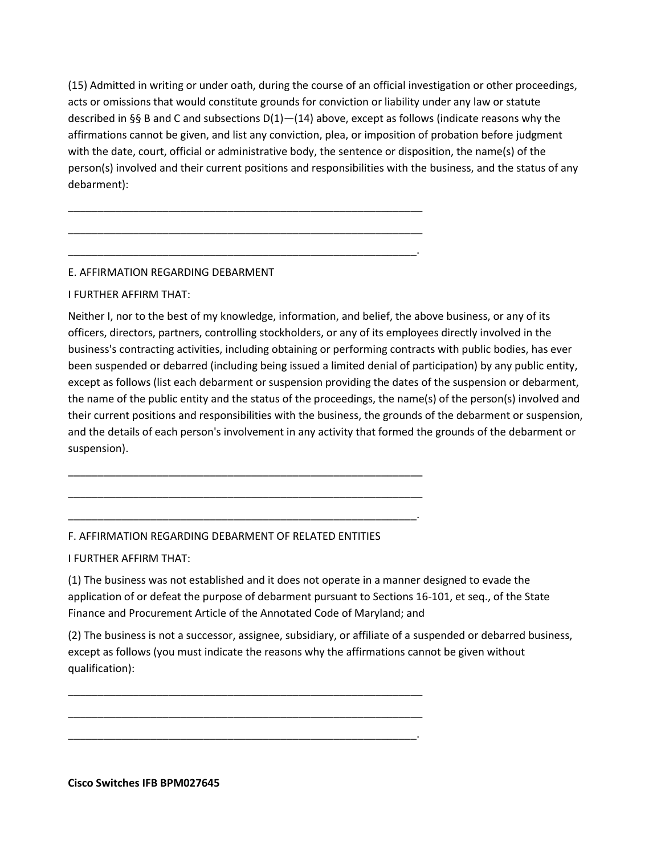(15) Admitted in writing or under oath, during the course of an official investigation or other proceedings, acts or omissions that would constitute grounds for conviction or liability under any law or statute described in §§ B and C and subsections  $D(1)$  – (14) above, except as follows (indicate reasons why the affirmations cannot be given, and list any conviction, plea, or imposition of probation before judgment with the date, court, official or administrative body, the sentence or disposition, the name(s) of the person(s) involved and their current positions and responsibilities with the business, and the status of any debarment):

# E. AFFIRMATION REGARDING DEBARMENT

I FURTHER AFFIRM THAT:

Neither I, nor to the best of my knowledge, information, and belief, the above business, or any of its officers, directors, partners, controlling stockholders, or any of its employees directly involved in the business's contracting activities, including obtaining or performing contracts with public bodies, has ever been suspended or debarred (including being issued a limited denial of participation) by any public entity, except as follows (list each debarment or suspension providing the dates of the suspension or debarment, the name of the public entity and the status of the proceedings, the name(s) of the person(s) involved and their current positions and responsibilities with the business, the grounds of the debarment or suspension, and the details of each person's involvement in any activity that formed the grounds of the debarment or suspension).

### F. AFFIRMATION REGARDING DEBARMENT OF RELATED ENTITIES

\_\_\_\_\_\_\_\_\_\_\_\_\_\_\_\_\_\_\_\_\_\_\_\_\_\_\_\_\_\_\_\_\_\_\_\_\_\_\_\_\_\_\_\_\_\_\_\_\_\_\_\_\_\_\_\_\_\_\_\_

\_\_\_\_\_\_\_\_\_\_\_\_\_\_\_\_\_\_\_\_\_\_\_\_\_\_\_\_\_\_\_\_\_\_\_\_\_\_\_\_\_\_\_\_\_\_\_\_\_\_\_\_\_\_\_\_\_\_\_\_

\_\_\_\_\_\_\_\_\_\_\_\_\_\_\_\_\_\_\_\_\_\_\_\_\_\_\_\_\_\_\_\_\_\_\_\_\_\_\_\_\_\_\_\_\_\_\_\_\_\_\_\_\_\_\_\_\_\_\_.

\_\_\_\_\_\_\_\_\_\_\_\_\_\_\_\_\_\_\_\_\_\_\_\_\_\_\_\_\_\_\_\_\_\_\_\_\_\_\_\_\_\_\_\_\_\_\_\_\_\_\_\_\_\_\_\_\_\_\_\_

\_\_\_\_\_\_\_\_\_\_\_\_\_\_\_\_\_\_\_\_\_\_\_\_\_\_\_\_\_\_\_\_\_\_\_\_\_\_\_\_\_\_\_\_\_\_\_\_\_\_\_\_\_\_\_\_\_\_\_\_

\_\_\_\_\_\_\_\_\_\_\_\_\_\_\_\_\_\_\_\_\_\_\_\_\_\_\_\_\_\_\_\_\_\_\_\_\_\_\_\_\_\_\_\_\_\_\_\_\_\_\_\_\_\_\_\_\_\_\_.

\_\_\_\_\_\_\_\_\_\_\_\_\_\_\_\_\_\_\_\_\_\_\_\_\_\_\_\_\_\_\_\_\_\_\_\_\_\_\_\_\_\_\_\_\_\_\_\_\_\_\_\_\_\_\_\_\_\_\_\_

\_\_\_\_\_\_\_\_\_\_\_\_\_\_\_\_\_\_\_\_\_\_\_\_\_\_\_\_\_\_\_\_\_\_\_\_\_\_\_\_\_\_\_\_\_\_\_\_\_\_\_\_\_\_\_\_\_\_\_\_

\_\_\_\_\_\_\_\_\_\_\_\_\_\_\_\_\_\_\_\_\_\_\_\_\_\_\_\_\_\_\_\_\_\_\_\_\_\_\_\_\_\_\_\_\_\_\_\_\_\_\_\_\_\_\_\_\_\_\_.

I FURTHER AFFIRM THAT:

(1) The business was not established and it does not operate in a manner designed to evade the application of or defeat the purpose of debarment pursuant to Sections 16-101, et seq., of the State Finance and Procurement Article of the Annotated Code of Maryland; and

(2) The business is not a successor, assignee, subsidiary, or affiliate of a suspended or debarred business, except as follows (you must indicate the reasons why the affirmations cannot be given without qualification):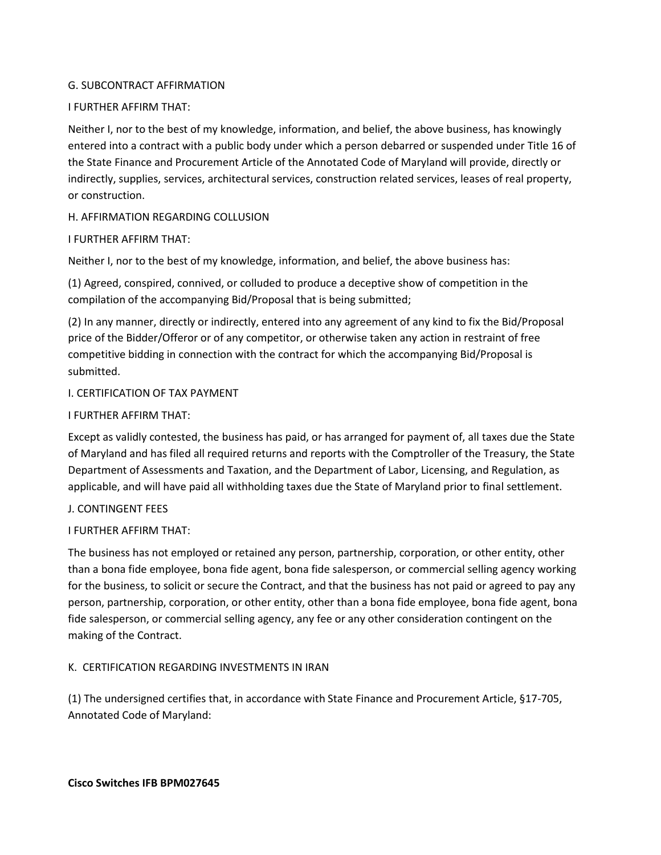### G. SUBCONTRACT AFFIRMATION

### I FURTHER AFFIRM THAT:

Neither I, nor to the best of my knowledge, information, and belief, the above business, has knowingly entered into a contract with a public body under which a person debarred or suspended under Title 16 of the State Finance and Procurement Article of the Annotated Code of Maryland will provide, directly or indirectly, supplies, services, architectural services, construction related services, leases of real property, or construction.

### H. AFFIRMATION REGARDING COLLUSION

### I FURTHER AFFIRM THAT:

Neither I, nor to the best of my knowledge, information, and belief, the above business has:

(1) Agreed, conspired, connived, or colluded to produce a deceptive show of competition in the compilation of the accompanying Bid/Proposal that is being submitted;

(2) In any manner, directly or indirectly, entered into any agreement of any kind to fix the Bid/Proposal price of the Bidder/Offeror or of any competitor, or otherwise taken any action in restraint of free competitive bidding in connection with the contract for which the accompanying Bid/Proposal is submitted.

### I. CERTIFICATION OF TAX PAYMENT

### I FURTHER AFFIRM THAT:

Except as validly contested, the business has paid, or has arranged for payment of, all taxes due the State of Maryland and has filed all required returns and reports with the Comptroller of the Treasury, the State Department of Assessments and Taxation, and the Department of Labor, Licensing, and Regulation, as applicable, and will have paid all withholding taxes due the State of Maryland prior to final settlement.

### J. CONTINGENT FEES

### I FURTHER AFFIRM THAT:

The business has not employed or retained any person, partnership, corporation, or other entity, other than a bona fide employee, bona fide agent, bona fide salesperson, or commercial selling agency working for the business, to solicit or secure the Contract, and that the business has not paid or agreed to pay any person, partnership, corporation, or other entity, other than a bona fide employee, bona fide agent, bona fide salesperson, or commercial selling agency, any fee or any other consideration contingent on the making of the Contract.

### K. CERTIFICATION REGARDING INVESTMENTS IN IRAN

(1) The undersigned certifies that, in accordance with State Finance and Procurement Article, §17-705, Annotated Code of Maryland: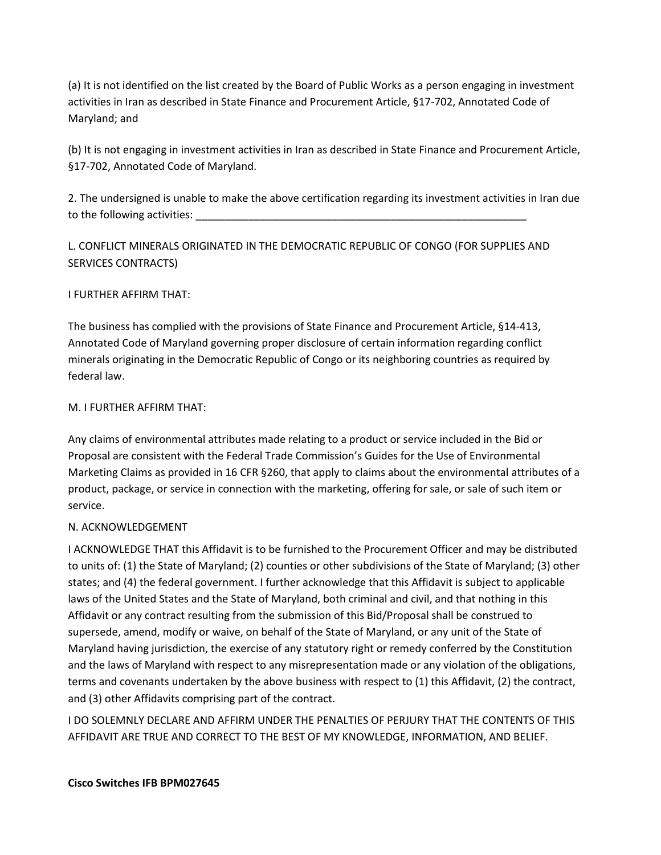(a) It is not identified on the list created by the Board of Public Works as a person engaging in investment activities in Iran as described in State Finance and Procurement Article, §17-702, Annotated Code of Maryland; and

(b) It is not engaging in investment activities in Iran as described in State Finance and Procurement Article, §17-702, Annotated Code of Maryland.

2. The undersigned is unable to make the above certification regarding its investment activities in Iran due to the following activities:

L. CONFLICT MINERALS ORIGINATED IN THE DEMOCRATIC REPUBLIC OF CONGO (FOR SUPPLIES AND SERVICES CONTRACTS)

I FURTHER AFFIRM THAT:

The business has complied with the provisions of State Finance and Procurement Article, §14-413, Annotated Code of Maryland governing proper disclosure of certain information regarding conflict minerals originating in the Democratic Republic of Congo or its neighboring countries as required by federal law.

### M. I FURTHER AFFIRM THAT:

Any claims of environmental attributes made relating to a product or service included in the Bid or Proposal are consistent with the Federal Trade Commission's Guides for the Use of Environmental Marketing Claims as provided in 16 CFR §260, that apply to claims about the environmental attributes of a product, package, or service in connection with the marketing, offering for sale, or sale of such item or service.

# N. ACKNOWLEDGEMENT

I ACKNOWLEDGE THAT this Affidavit is to be furnished to the Procurement Officer and may be distributed to units of: (1) the State of Maryland; (2) counties or other subdivisions of the State of Maryland; (3) other states; and (4) the federal government. I further acknowledge that this Affidavit is subject to applicable laws of the United States and the State of Maryland, both criminal and civil, and that nothing in this Affidavit or any contract resulting from the submission of this Bid/Proposal shall be construed to supersede, amend, modify or waive, on behalf of the State of Maryland, or any unit of the State of Maryland having jurisdiction, the exercise of any statutory right or remedy conferred by the Constitution and the laws of Maryland with respect to any misrepresentation made or any violation of the obligations, terms and covenants undertaken by the above business with respect to (1) this Affidavit, (2) the contract, and (3) other Affidavits comprising part of the contract.

I DO SOLEMNLY DECLARE AND AFFIRM UNDER THE PENALTIES OF PERJURY THAT THE CONTENTS OF THIS AFFIDAVIT ARE TRUE AND CORRECT TO THE BEST OF MY KNOWLEDGE, INFORMATION, AND BELIEF.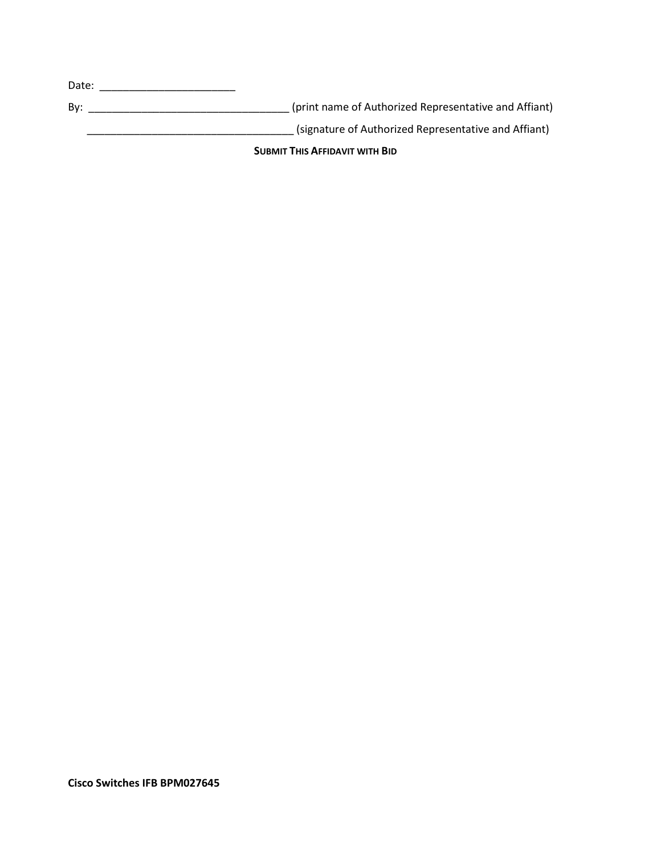| <b>SUBMIT THIS AFFIDAVIT WITH BID</b> |                                                       |  |  |  |
|---------------------------------------|-------------------------------------------------------|--|--|--|
|                                       | (signature of Authorized Representative and Affiant)  |  |  |  |
| Bv:                                   | (print name of Authorized Representative and Affiant) |  |  |  |
| Date:                                 |                                                       |  |  |  |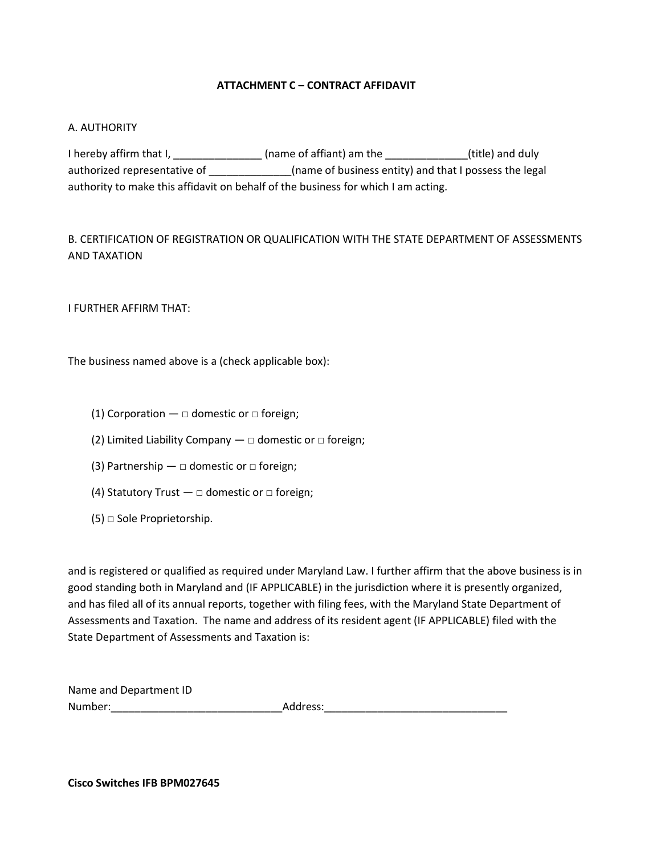## **ATTACHMENT C – CONTRACT AFFIDAVIT**

### <span id="page-35-0"></span>A. AUTHORITY

I hereby affirm that I, \_\_\_\_\_\_\_\_\_\_\_\_\_\_\_\_\_(name of affiant) am the \_\_\_\_\_\_\_\_\_\_\_\_\_\_(title) and duly authorized representative of \_\_\_\_\_\_\_\_\_\_\_\_\_(name of business entity) and that I possess the legal authority to make this affidavit on behalf of the business for which I am acting.

B. CERTIFICATION OF REGISTRATION OR QUALIFICATION WITH THE STATE DEPARTMENT OF ASSESSMENTS AND TAXATION

I FURTHER AFFIRM THAT:

The business named above is a (check applicable box):

- (1) Corporation  $\Box$  domestic or  $\Box$  foreign;
- (2) Limited Liability Company  $-\Box$  domestic or  $\Box$  foreign;
- (3) Partnership  $\Box$  domestic or  $\Box$  foreign;
- (4) Statutory Trust  $\Box$  domestic or  $\Box$  foreign;
- (5) □ Sole Proprietorship.

and is registered or qualified as required under Maryland Law. I further affirm that the above business is in good standing both in Maryland and (IF APPLICABLE) in the jurisdiction where it is presently organized, and has filed all of its annual reports, together with filing fees, with the Maryland State Department of Assessments and Taxation. The name and address of its resident agent (IF APPLICABLE) filed with the State Department of Assessments and Taxation is:

| Name and Department ID |          |
|------------------------|----------|
| Number:                | Address: |

**Cisco Switches IFB BPM027645**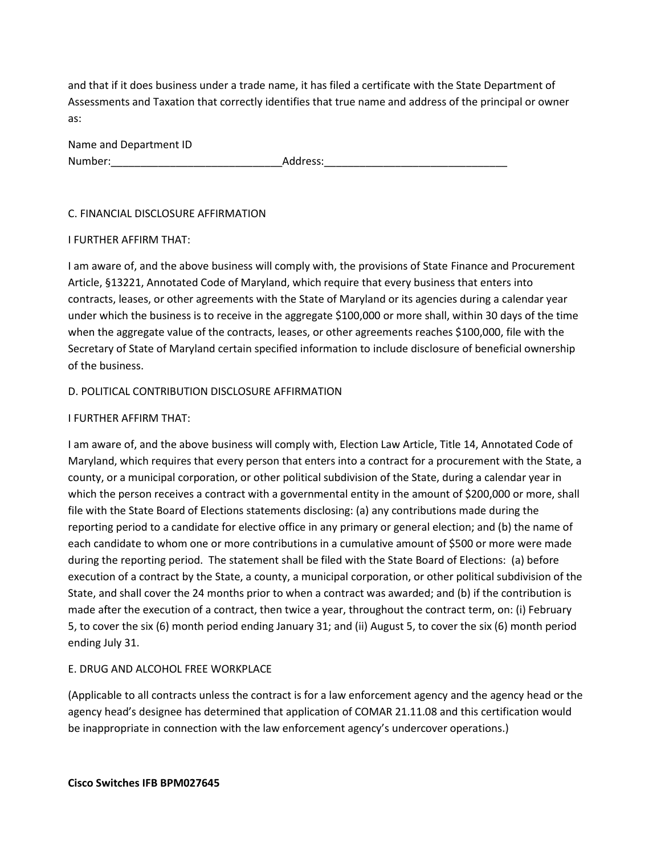and that if it does business under a trade name, it has filed a certificate with the State Department of Assessments and Taxation that correctly identifies that true name and address of the principal or owner as:

| Name and Department ID |          |
|------------------------|----------|
| Number:                | Address: |

### C. FINANCIAL DISCLOSURE AFFIRMATION

### I FURTHER AFFIRM THAT:

I am aware of, and the above business will comply with, the provisions of State Finance and Procurement Article, §13221, Annotated Code of Maryland, which require that every business that enters into contracts, leases, or other agreements with the State of Maryland or its agencies during a calendar year under which the business is to receive in the aggregate \$100,000 or more shall, within 30 days of the time when the aggregate value of the contracts, leases, or other agreements reaches \$100,000, file with the Secretary of State of Maryland certain specified information to include disclosure of beneficial ownership of the business.

## D. POLITICAL CONTRIBUTION DISCLOSURE AFFIRMATION

## I FURTHER AFFIRM THAT:

I am aware of, and the above business will comply with, Election Law Article, Title 14, Annotated Code of Maryland, which requires that every person that enters into a contract for a procurement with the State, a county, or a municipal corporation, or other political subdivision of the State, during a calendar year in which the person receives a contract with a governmental entity in the amount of \$200,000 or more, shall file with the State Board of Elections statements disclosing: (a) any contributions made during the reporting period to a candidate for elective office in any primary or general election; and (b) the name of each candidate to whom one or more contributions in a cumulative amount of \$500 or more were made during the reporting period. The statement shall be filed with the State Board of Elections: (a) before execution of a contract by the State, a county, a municipal corporation, or other political subdivision of the State, and shall cover the 24 months prior to when a contract was awarded; and (b) if the contribution is made after the execution of a contract, then twice a year, throughout the contract term, on: (i) February 5, to cover the six (6) month period ending January 31; and (ii) August 5, to cover the six (6) month period ending July 31.

# E. DRUG AND ALCOHOL FREE WORKPLACE

(Applicable to all contracts unless the contract is for a law enforcement agency and the agency head or the agency head's designee has determined that application of COMAR 21.11.08 and this certification would be inappropriate in connection with the law enforcement agency's undercover operations.)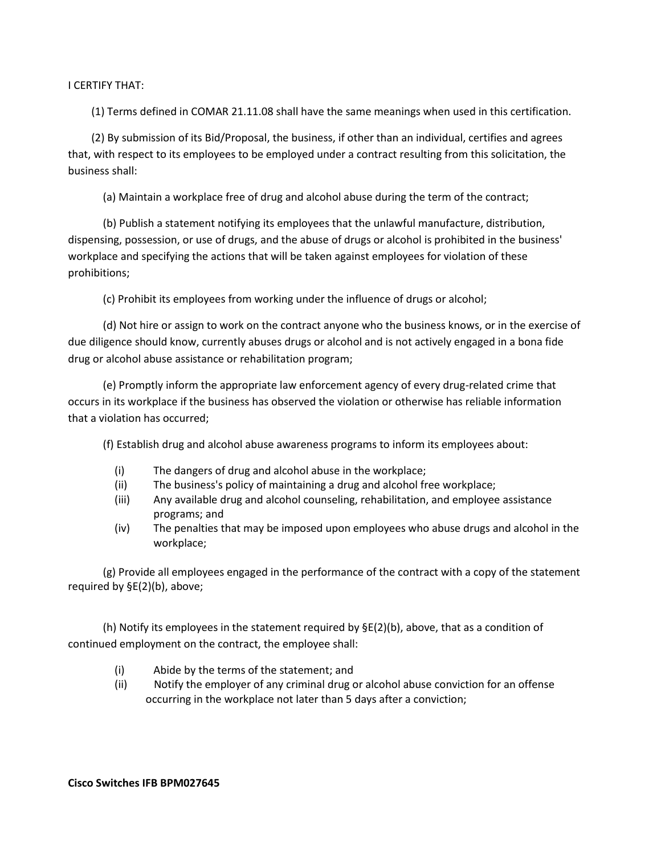I CERTIFY THAT:

(1) Terms defined in COMAR 21.11.08 shall have the same meanings when used in this certification.

(2) By submission of its Bid/Proposal, the business, if other than an individual, certifies and agrees that, with respect to its employees to be employed under a contract resulting from this solicitation, the business shall:

(a) Maintain a workplace free of drug and alcohol abuse during the term of the contract;

(b) Publish a statement notifying its employees that the unlawful manufacture, distribution, dispensing, possession, or use of drugs, and the abuse of drugs or alcohol is prohibited in the business' workplace and specifying the actions that will be taken against employees for violation of these prohibitions;

(c) Prohibit its employees from working under the influence of drugs or alcohol;

(d) Not hire or assign to work on the contract anyone who the business knows, or in the exercise of due diligence should know, currently abuses drugs or alcohol and is not actively engaged in a bona fide drug or alcohol abuse assistance or rehabilitation program;

(e) Promptly inform the appropriate law enforcement agency of every drug-related crime that occurs in its workplace if the business has observed the violation or otherwise has reliable information that a violation has occurred;

(f) Establish drug and alcohol abuse awareness programs to inform its employees about:

- (i) The dangers of drug and alcohol abuse in the workplace;
- (ii) The business's policy of maintaining a drug and alcohol free workplace;
- (iii) Any available drug and alcohol counseling, rehabilitation, and employee assistance programs; and
- (iv) The penalties that may be imposed upon employees who abuse drugs and alcohol in the workplace;

(g) Provide all employees engaged in the performance of the contract with a copy of the statement required by §E(2)(b), above;

(h) Notify its employees in the statement required by  $\Sigma(2)(b)$ , above, that as a condition of continued employment on the contract, the employee shall:

- (i) Abide by the terms of the statement; and
- (ii) Notify the employer of any criminal drug or alcohol abuse conviction for an offense occurring in the workplace not later than 5 days after a conviction;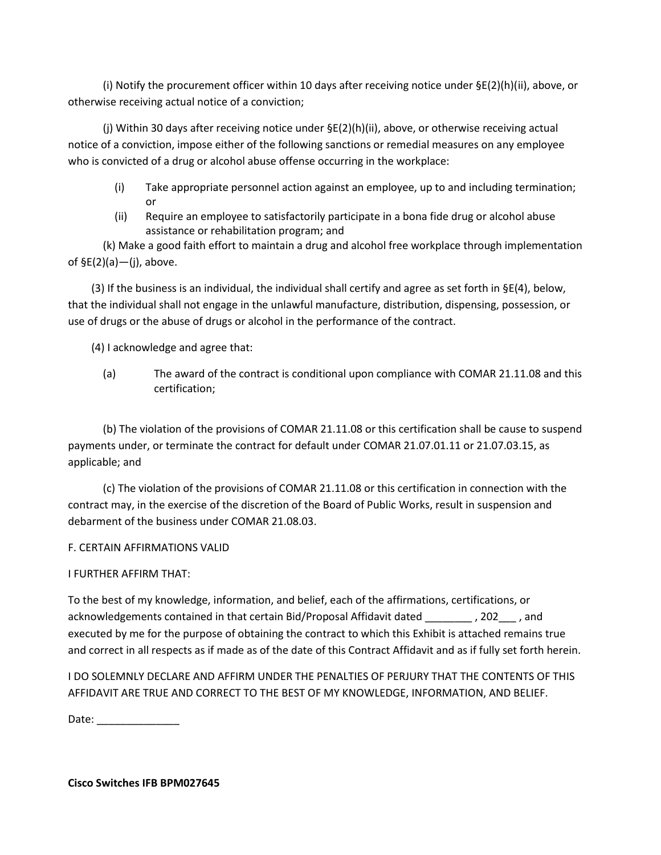(i) Notify the procurement officer within 10 days after receiving notice under §E(2)(h)(ii), above, or otherwise receiving actual notice of a conviction;

(j) Within 30 days after receiving notice under §E(2)(h)(ii), above, or otherwise receiving actual notice of a conviction, impose either of the following sanctions or remedial measures on any employee who is convicted of a drug or alcohol abuse offense occurring in the workplace:

- (i) Take appropriate personnel action against an employee, up to and including termination; or
- (ii) Require an employee to satisfactorily participate in a bona fide drug or alcohol abuse assistance or rehabilitation program; and

(k) Make a good faith effort to maintain a drug and alcohol free workplace through implementation of  $$E(2)(a)$ —(j), above.

(3) If the business is an individual, the individual shall certify and agree as set forth in §E(4), below, that the individual shall not engage in the unlawful manufacture, distribution, dispensing, possession, or use of drugs or the abuse of drugs or alcohol in the performance of the contract.

(4) I acknowledge and agree that:

(a) The award of the contract is conditional upon compliance with COMAR 21.11.08 and this certification;

(b) The violation of the provisions of COMAR 21.11.08 or this certification shall be cause to suspend payments under, or terminate the contract for default under COMAR 21.07.01.11 or 21.07.03.15, as applicable; and

(c) The violation of the provisions of COMAR 21.11.08 or this certification in connection with the contract may, in the exercise of the discretion of the Board of Public Works, result in suspension and debarment of the business under COMAR 21.08.03.

# F. CERTAIN AFFIRMATIONS VALID

# I FURTHER AFFIRM THAT:

To the best of my knowledge, information, and belief, each of the affirmations, certifications, or acknowledgements contained in that certain Bid/Proposal Affidavit dated \_\_\_\_\_\_\_\_ , 202\_\_\_ , and executed by me for the purpose of obtaining the contract to which this Exhibit is attached remains true and correct in all respects as if made as of the date of this Contract Affidavit and as if fully set forth herein.

I DO SOLEMNLY DECLARE AND AFFIRM UNDER THE PENALTIES OF PERJURY THAT THE CONTENTS OF THIS AFFIDAVIT ARE TRUE AND CORRECT TO THE BEST OF MY KNOWLEDGE, INFORMATION, AND BELIEF.

Date: \_\_\_\_\_\_\_\_\_\_\_\_\_\_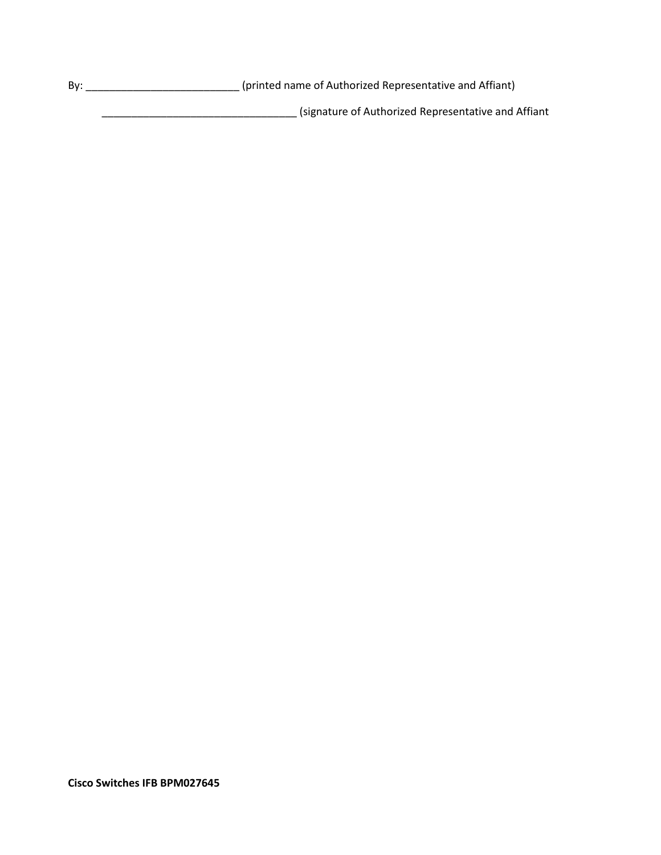By: \_\_\_\_\_\_\_\_\_\_\_\_\_\_\_\_\_\_\_\_\_\_\_\_\_\_\_\_\_\_\_\_\_\_(printed name of Authorized Representative and Affiant) \_\_\_\_\_\_\_\_\_\_\_\_\_\_\_\_\_\_\_\_\_\_\_\_\_\_\_\_\_\_\_\_\_ (signature of Authorized Representative and Affiant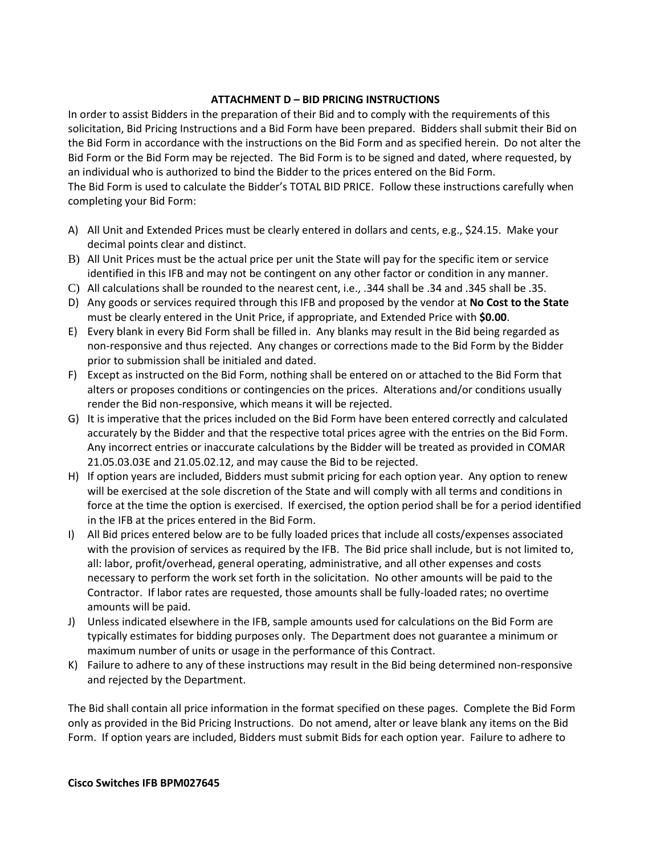### **ATTACHMENT D – BID PRICING INSTRUCTIONS**

In order to assist Bidders in the preparation of their Bid and to comply with the requirements of this solicitation, Bid Pricing Instructions and a Bid Form have been prepared. Bidders shall submit their Bid on the Bid Form in accordance with the instructions on the Bid Form and as specified herein. Do not alter the Bid Form or the Bid Form may be rejected. The Bid Form is to be signed and dated, where requested, by an individual who is authorized to bind the Bidder to the prices entered on the Bid Form. The Bid Form is used to calculate the Bidder's TOTAL BID PRICE. Follow these instructions carefully when completing your Bid Form:

- A) All Unit and Extended Prices must be clearly entered in dollars and cents, e.g., \$24.15. Make your decimal points clear and distinct.
- B) All Unit Prices must be the actual price per unit the State will pay for the specific item or service identified in this IFB and may not be contingent on any other factor or condition in any manner.
- C) All calculations shall be rounded to the nearest cent, i.e., .344 shall be .34 and .345 shall be .35.
- D) Any goods or services required through this IFB and proposed by the vendor at **No Cost to the State** must be clearly entered in the Unit Price, if appropriate, and Extended Price with **\$0.00**.
- E) Every blank in every Bid Form shall be filled in. Any blanks may result in the Bid being regarded as non-responsive and thus rejected. Any changes or corrections made to the Bid Form by the Bidder prior to submission shall be initialed and dated.
- F) Except as instructed on the Bid Form, nothing shall be entered on or attached to the Bid Form that alters or proposes conditions or contingencies on the prices. Alterations and/or conditions usually render the Bid non-responsive, which means it will be rejected.
- G) It is imperative that the prices included on the Bid Form have been entered correctly and calculated accurately by the Bidder and that the respective total prices agree with the entries on the Bid Form. Any incorrect entries or inaccurate calculations by the Bidder will be treated as provided in COMAR 21.05.03.03E and 21.05.02.12, and may cause the Bid to be rejected.
- H) If option years are included, Bidders must submit pricing for each option year. Any option to renew will be exercised at the sole discretion of the State and will comply with all terms and conditions in force at the time the option is exercised. If exercised, the option period shall be for a period identified in the IFB at the prices entered in the Bid Form.
- I) All Bid prices entered below are to be fully loaded prices that include all costs/expenses associated with the provision of services as required by the IFB. The Bid price shall include, but is not limited to, all: labor, profit/overhead, general operating, administrative, and all other expenses and costs necessary to perform the work set forth in the solicitation. No other amounts will be paid to the Contractor. If labor rates are requested, those amounts shall be fully-loaded rates; no overtime amounts will be paid.
- J) Unless indicated elsewhere in the IFB, sample amounts used for calculations on the Bid Form are typically estimates for bidding purposes only. The Department does not guarantee a minimum or maximum number of units or usage in the performance of this Contract.
- K) Failure to adhere to any of these instructions may result in the Bid being determined non-responsive and rejected by the Department.

The Bid shall contain all price information in the format specified on these pages. Complete the Bid Form only as provided in the Bid Pricing Instructions. Do not amend, alter or leave blank any items on the Bid Form. If option years are included, Bidders must submit Bids for each option year. Failure to adhere to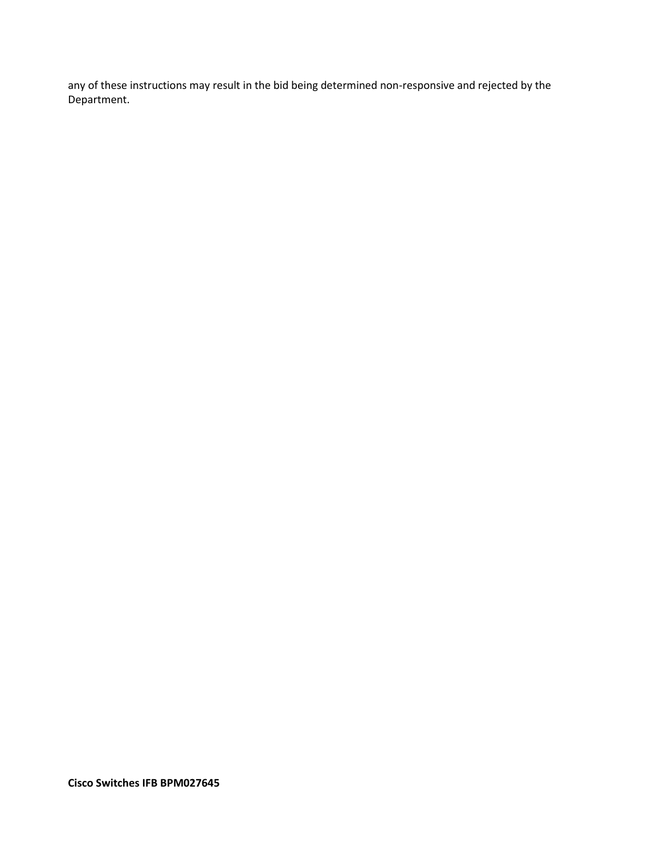any of these instructions may result in the bid being determined non-responsive and rejected by the Department.

**Cisco Switches IFB BPM027645**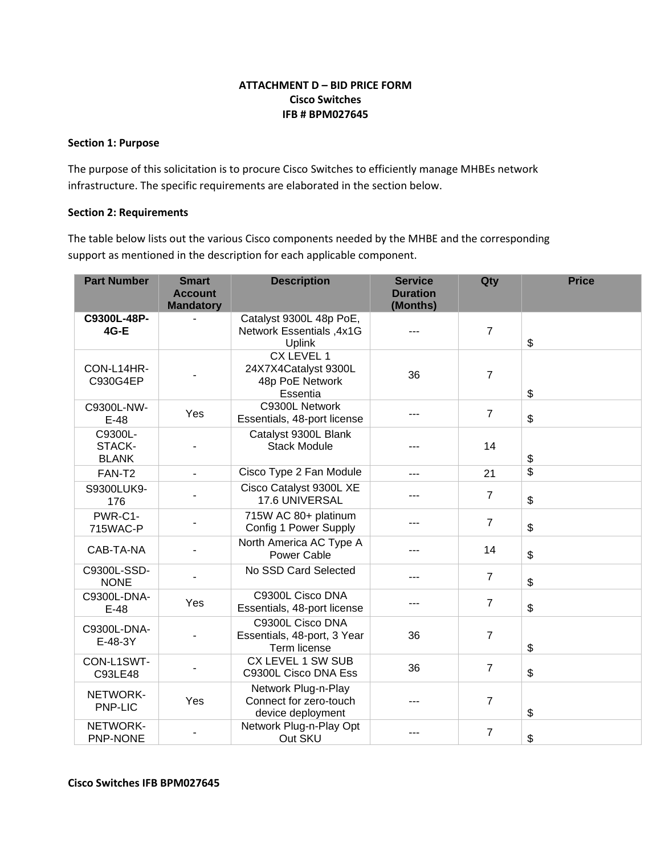## **ATTACHMENT D – BID PRICE FORM Cisco Switches IFB # BPM027645**

### <span id="page-42-0"></span>**Section 1: Purpose**

The purpose of this solicitation is to procure Cisco Switches to efficiently manage MHBEs network infrastructure. The specific requirements are elaborated in the section below.

### **Section 2: Requirements**

The table below lists out the various Cisco components needed by the MHBE and the corresponding support as mentioned in the description for each applicable component.

| <b>Part Number</b>                | <b>Smart</b><br><b>Account</b><br><b>Mandatory</b> | <b>Description</b>                                                    | <b>Service</b><br><b>Duration</b><br>(Months) | Qty            | <b>Price</b>   |
|-----------------------------------|----------------------------------------------------|-----------------------------------------------------------------------|-----------------------------------------------|----------------|----------------|
| C9300L-48P-<br><b>4G-E</b>        |                                                    | Catalyst 9300L 48p PoE,<br>Network Essentials , 4x1G<br><b>Uplink</b> |                                               | $\overline{7}$ | \$             |
| CON-L14HR-<br>C930G4EP            |                                                    | CX LEVEL 1<br>24X7X4Catalyst 9300L<br>48p PoE Network<br>Essentia     | 36                                            | $\overline{7}$ | \$             |
| C9300L-NW-<br>$E-48$              | Yes                                                | C9300L Network<br>Essentials, 48-port license                         |                                               | $\overline{7}$ | \$             |
| C9300L-<br>STACK-<br><b>BLANK</b> |                                                    | Catalyst 9300L Blank<br><b>Stack Module</b>                           |                                               | 14             | \$             |
| FAN-T <sub>2</sub>                | $\overline{a}$                                     | Cisco Type 2 Fan Module                                               |                                               | 21             | \$             |
| S9300LUK9-<br>176                 |                                                    | Cisco Catalyst 9300L XE<br>17.6 UNIVERSAL                             |                                               | $\overline{7}$ | \$             |
| PWR-C1-<br>715WAC-P               |                                                    | 715W AC 80+ platinum<br>Config 1 Power Supply                         |                                               | $\overline{7}$ | \$             |
| CAB-TA-NA                         |                                                    | North America AC Type A<br><b>Power Cable</b>                         |                                               | 14             | $\mathfrak{S}$ |
| C9300L-SSD-<br><b>NONE</b>        |                                                    | No SSD Card Selected                                                  | ---                                           | $\overline{7}$ | $\mathfrak{S}$ |
| C9300L-DNA-<br>$E-48$             | Yes                                                | C9300L Cisco DNA<br>Essentials, 48-port license                       |                                               | $\overline{7}$ | \$             |
| C9300L-DNA-<br>E-48-3Y            |                                                    | C9300L Cisco DNA<br>Essentials, 48-port, 3 Year<br>Term license       | 36                                            | $\overline{7}$ | \$             |
| CON-L1SWT-<br>C93LE48             |                                                    | CX LEVEL 1 SW SUB<br>C9300L Cisco DNA Ess                             | 36                                            | $\overline{7}$ | \$             |
| NETWORK-<br>PNP-LIC               | Yes                                                | Network Plug-n-Play<br>Connect for zero-touch<br>device deployment    |                                               | $\overline{7}$ | \$             |
| NETWORK-<br>PNP-NONE              |                                                    | Network Plug-n-Play Opt<br>Out SKU                                    |                                               | $\overline{7}$ | \$             |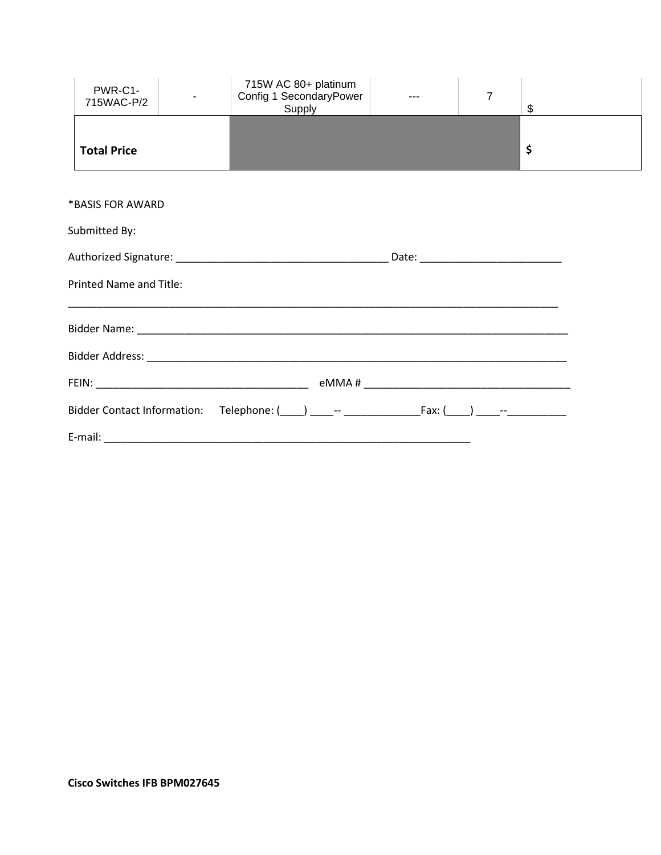| PWR-C1-<br>715WAC-P/2   |                                                                                                                    | 715W AC 80+ platinum<br>Config 1 SecondaryPower<br>Supply | $\overline{7}$ | \$ |
|-------------------------|--------------------------------------------------------------------------------------------------------------------|-----------------------------------------------------------|----------------|----|
| <b>Total Price</b>      |                                                                                                                    |                                                           |                | \$ |
| *BASIS FOR AWARD        |                                                                                                                    |                                                           |                |    |
| Submitted By:           |                                                                                                                    |                                                           |                |    |
| Printed Name and Title: | <u> 1990 - Jan James James James James James James James James James James James James James James James James</u> |                                                           |                |    |
|                         |                                                                                                                    |                                                           |                |    |
|                         |                                                                                                                    |                                                           |                |    |
|                         |                                                                                                                    |                                                           |                |    |
|                         |                                                                                                                    |                                                           |                |    |
|                         |                                                                                                                    |                                                           |                |    |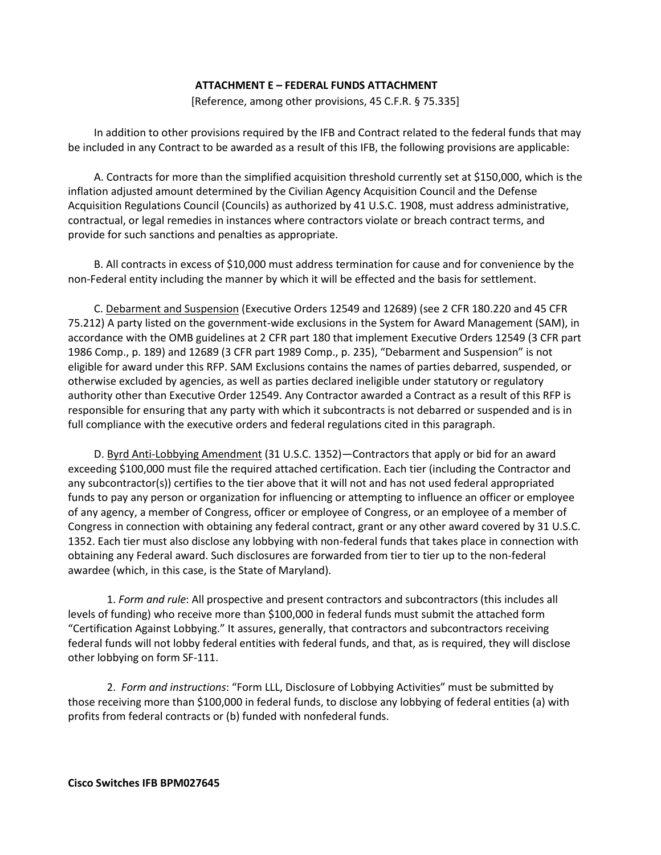### **ATTACHMENT E – FEDERAL FUNDS ATTACHMENT**

[Reference, among other provisions, 45 C.F.R. § 75.335]

<span id="page-44-0"></span>In addition to other provisions required by the IFB and Contract related to the federal funds that may be included in any Contract to be awarded as a result of this IFB, the following provisions are applicable:

A. Contracts for more than the simplified acquisition threshold currently set at \$150,000, which is the inflation adjusted amount determined by the Civilian Agency Acquisition Council and the Defense Acquisition Regulations Council (Councils) as authorized by 41 U.S.C. 1908, must address administrative, contractual, or legal remedies in instances where contractors violate or breach contract terms, and provide for such sanctions and penalties as appropriate.

B. All contracts in excess of \$10,000 must address termination for cause and for convenience by the non-Federal entity including the manner by which it will be effected and the basis for settlement.

C. Debarment and Suspension (Executive Orders 12549 and 12689) (see 2 CFR 180.220 and 45 CFR 75.212) A party listed on the government-wide exclusions in the System for Award Management (SAM), in accordance with the OMB guidelines at 2 CFR part 180 that implement Executive Orders 12549 (3 CFR part 1986 Comp., p. 189) and 12689 (3 CFR part 1989 Comp., p. 235), "Debarment and Suspension" is not eligible for award under this RFP. SAM Exclusions contains the names of parties debarred, suspended, or otherwise excluded by agencies, as well as parties declared ineligible under statutory or regulatory authority other than Executive Order 12549. Any Contractor awarded a Contract as a result of this RFP is responsible for ensuring that any party with which it subcontracts is not debarred or suspended and is in full compliance with the executive orders and federal regulations cited in this paragraph.

D. Byrd Anti-Lobbying Amendment (31 U.S.C. 1352)—Contractors that apply or bid for an award exceeding \$100,000 must file the required attached certification. Each tier (including the Contractor and any subcontractor(s)) certifies to the tier above that it will not and has not used federal appropriated funds to pay any person or organization for influencing or attempting to influence an officer or employee of any agency, a member of Congress, officer or employee of Congress, or an employee of a member of Congress in connection with obtaining any federal contract, grant or any other award covered by 31 U.S.C. 1352. Each tier must also disclose any lobbying with non-federal funds that takes place in connection with obtaining any Federal award. Such disclosures are forwarded from tier to tier up to the non-federal awardee (which, in this case, is the State of Maryland).

1. *Form and rule*: All prospective and present contractors and subcontractors (this includes all levels of funding) who receive more than \$100,000 in federal funds must submit the attached form "Certification Against Lobbying." It assures, generally, that contractors and subcontractors receiving federal funds will not lobby federal entities with federal funds, and that, as is required, they will disclose other lobbying on form SF-111.

2. *Form and instructions*: "Form LLL, Disclosure of Lobbying Activities" must be submitted by those receiving more than \$100,000 in federal funds, to disclose any lobbying of federal entities (a) with profits from federal contracts or (b) funded with nonfederal funds.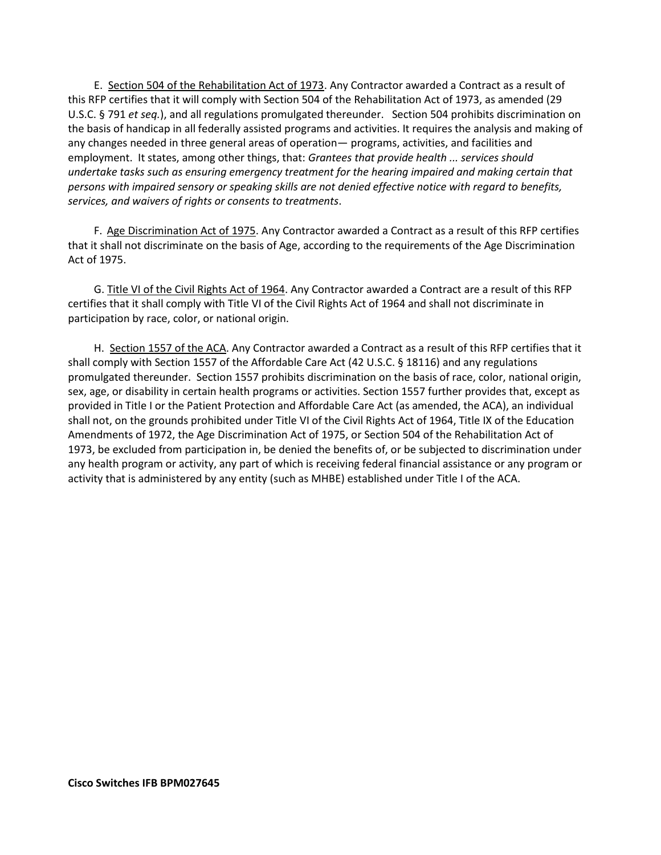E. Section 504 of the Rehabilitation Act of 1973. Any Contractor awarded a Contract as a result of this RFP certifies that it will comply with Section 504 of the Rehabilitation Act of 1973, as amended (29 U.S.C. § 791 *et seq.*), and all regulations promulgated thereunder. Section 504 prohibits discrimination on the basis of handicap in all federally assisted programs and activities. It requires the analysis and making of any changes needed in three general areas of operation— programs, activities, and facilities and employment. It states, among other things, that: *Grantees that provide health ... services should undertake tasks such as ensuring emergency treatment for the hearing impaired and making certain that persons with impaired sensory or speaking skills are not denied effective notice with regard to benefits, services, and waivers of rights or consents to treatments*.

F. Age Discrimination Act of 1975. Any Contractor awarded a Contract as a result of this RFP certifies that it shall not discriminate on the basis of Age, according to the requirements of the Age Discrimination Act of 1975.

G. Title VI of the Civil Rights Act of 1964. Any Contractor awarded a Contract are a result of this RFP certifies that it shall comply with Title VI of the Civil Rights Act of 1964 and shall not discriminate in participation by race, color, or national origin.

H. Section 1557 of the ACA. Any Contractor awarded a Contract as a result of this RFP certifies that it shall comply with Section 1557 of the Affordable Care Act (42 U.S.C. § 18116) and any regulations promulgated thereunder. Section 1557 prohibits discrimination on the basis of race, color, national origin, sex, age, or disability in certain health programs or activities. Section 1557 further provides that, except as provided in Title I or the Patient Protection and Affordable Care Act (as amended, the ACA), an individual shall not, on the grounds prohibited under Title VI of the Civil Rights Act of 1964, Title IX of the Education Amendments of 1972, the Age Discrimination Act of 1975, or Section 504 of the Rehabilitation Act of 1973, be excluded from participation in, be denied the benefits of, or be subjected to discrimination under any health program or activity, any part of which is receiving federal financial assistance or any program or activity that is administered by any entity (such as MHBE) established under Title I of the ACA.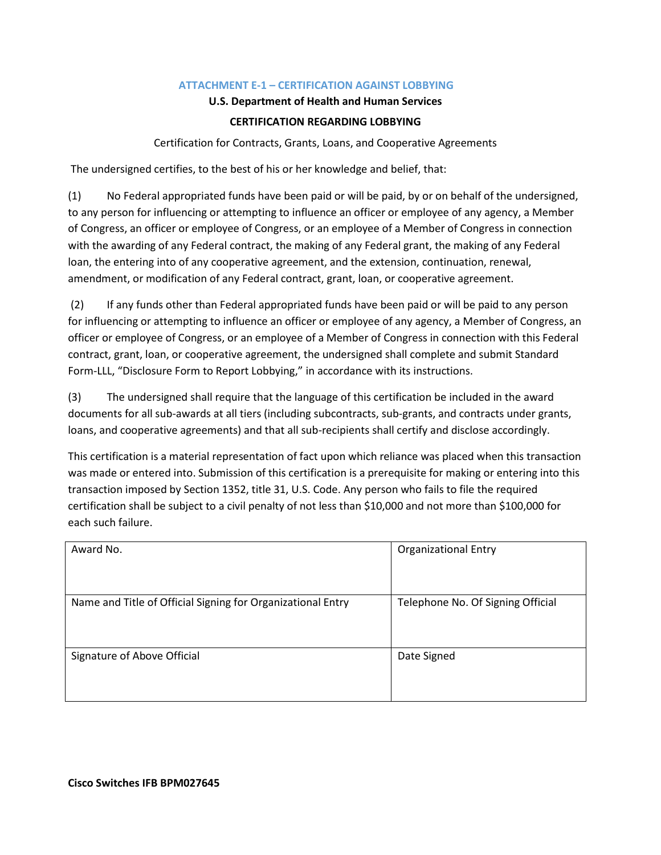## **ATTACHMENT E-1 – CERTIFICATION AGAINST LOBBYING**

### **U.S. Department of Health and Human Services**

### **CERTIFICATION REGARDING LOBBYING**

Certification for Contracts, Grants, Loans, and Cooperative Agreements

<span id="page-46-0"></span>The undersigned certifies, to the best of his or her knowledge and belief, that:

(1) No Federal appropriated funds have been paid or will be paid, by or on behalf of the undersigned, to any person for influencing or attempting to influence an officer or employee of any agency, a Member of Congress, an officer or employee of Congress, or an employee of a Member of Congress in connection with the awarding of any Federal contract, the making of any Federal grant, the making of any Federal loan, the entering into of any cooperative agreement, and the extension, continuation, renewal, amendment, or modification of any Federal contract, grant, loan, or cooperative agreement.

(2) If any funds other than Federal appropriated funds have been paid or will be paid to any person for influencing or attempting to influence an officer or employee of any agency, a Member of Congress, an officer or employee of Congress, or an employee of a Member of Congress in connection with this Federal contract, grant, loan, or cooperative agreement, the undersigned shall complete and submit Standard Form-LLL, "Disclosure Form to Report Lobbying," in accordance with its instructions.

(3) The undersigned shall require that the language of this certification be included in the award documents for all sub-awards at all tiers (including subcontracts, sub-grants, and contracts under grants, loans, and cooperative agreements) and that all sub-recipients shall certify and disclose accordingly.

This certification is a material representation of fact upon which reliance was placed when this transaction was made or entered into. Submission of this certification is a prerequisite for making or entering into this transaction imposed by Section 1352, title 31, U.S. Code. Any person who fails to file the required certification shall be subject to a civil penalty of not less than \$10,000 and not more than \$100,000 for each such failure.

| Award No.                                                   | <b>Organizational Entry</b>       |
|-------------------------------------------------------------|-----------------------------------|
| Name and Title of Official Signing for Organizational Entry | Telephone No. Of Signing Official |
| Signature of Above Official                                 | Date Signed                       |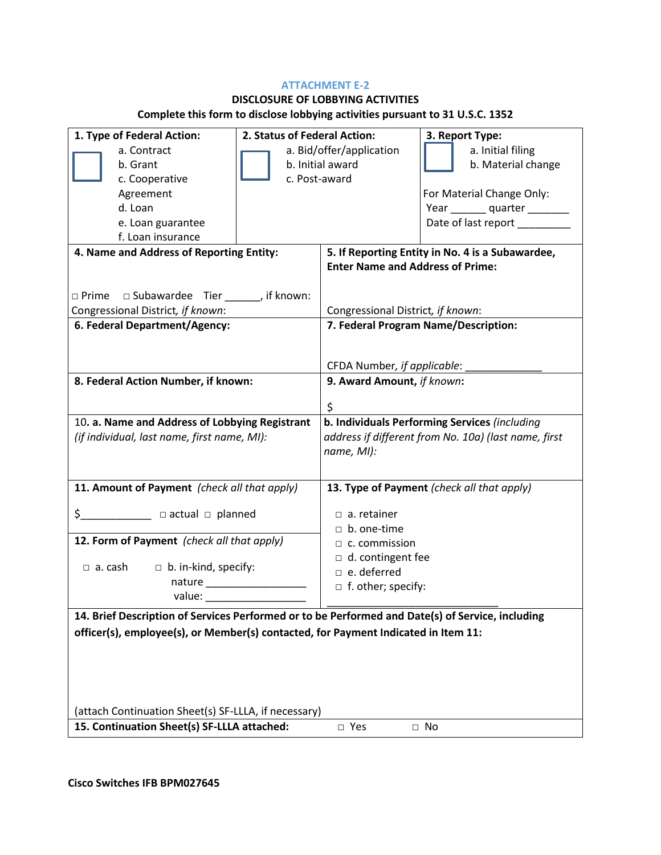### **ATTACHMENT E-2**

# **DISCLOSURE OF LOBBYING ACTIVITIES**

# **Complete this form to disclose lobbying activities pursuant to 31 U.S.C. 1352**

| 1. Type of Federal Action:                                                                       | 2. Status of Federal Action: |                                                  | 3. Report Type:                                      |  |
|--------------------------------------------------------------------------------------------------|------------------------------|--------------------------------------------------|------------------------------------------------------|--|
| a. Contract                                                                                      | a. Bid/offer/application     |                                                  | a. Initial filing                                    |  |
| b. Grant                                                                                         | b. Initial award             |                                                  | b. Material change                                   |  |
| c. Cooperative                                                                                   | c. Post-award                |                                                  |                                                      |  |
| Agreement                                                                                        |                              |                                                  | For Material Change Only:                            |  |
| d. Loan                                                                                          |                              |                                                  | Year _________ quarter _________                     |  |
| e. Loan guarantee                                                                                |                              |                                                  | Date of last report ______                           |  |
| f. Loan insurance                                                                                |                              |                                                  |                                                      |  |
| 4. Name and Address of Reporting Entity:                                                         |                              | 5. If Reporting Entity in No. 4 is a Subawardee, |                                                      |  |
|                                                                                                  |                              | <b>Enter Name and Address of Prime:</b>          |                                                      |  |
|                                                                                                  |                              |                                                  |                                                      |  |
| $\Box$ Prime $\Box$ Subawardee Tier _______, if known:                                           |                              |                                                  |                                                      |  |
| Congressional District, if known:                                                                |                              | Congressional District, if known:                |                                                      |  |
| 6. Federal Department/Agency:                                                                    |                              |                                                  | 7. Federal Program Name/Description:                 |  |
|                                                                                                  |                              |                                                  |                                                      |  |
|                                                                                                  |                              | CFDA Number, if applicable:                      |                                                      |  |
| 8. Federal Action Number, if known:                                                              |                              |                                                  |                                                      |  |
|                                                                                                  |                              | 9. Award Amount, if known:                       |                                                      |  |
|                                                                                                  |                              | \$                                               |                                                      |  |
| 10. a. Name and Address of Lobbying Registrant                                                   |                              | b. Individuals Performing Services (including    |                                                      |  |
| (if individual, last name, first name, MI):                                                      |                              |                                                  | address if different from No. 10a) (last name, first |  |
|                                                                                                  |                              | name, MI):                                       |                                                      |  |
|                                                                                                  |                              |                                                  |                                                      |  |
| 11. Amount of Payment (check all that apply)                                                     |                              |                                                  | 13. Type of Payment (check all that apply)           |  |
|                                                                                                  |                              |                                                  |                                                      |  |
|                                                                                                  |                              | $\Box$ a. retainer                               |                                                      |  |
|                                                                                                  |                              | $\Box$ b. one-time                               |                                                      |  |
| 12. Form of Payment (check all that apply)                                                       |                              | $\Box$ c. commission                             |                                                      |  |
|                                                                                                  |                              | d. contingent fee                                |                                                      |  |
| $\Box$ a. cash<br>$\Box$ b. in-kind, specify:                                                    |                              | $\Box$ e. deferred                               |                                                      |  |
|                                                                                                  |                              | $\Box$ f. other; specify:                        |                                                      |  |
| value: Value:                                                                                    |                              |                                                  |                                                      |  |
| 14. Brief Description of Services Performed or to be Performed and Date(s) of Service, including |                              |                                                  |                                                      |  |
| officer(s), employee(s), or Member(s) contacted, for Payment Indicated in Item 11:               |                              |                                                  |                                                      |  |
|                                                                                                  |                              |                                                  |                                                      |  |
|                                                                                                  |                              |                                                  |                                                      |  |
|                                                                                                  |                              |                                                  |                                                      |  |
|                                                                                                  |                              |                                                  |                                                      |  |
| (attach Continuation Sheet(s) SF-LLLA, if necessary)                                             |                              |                                                  |                                                      |  |
| 15. Continuation Sheet(s) SF-LLLA attached:                                                      |                              | □ Yes                                            | $\Box$ No                                            |  |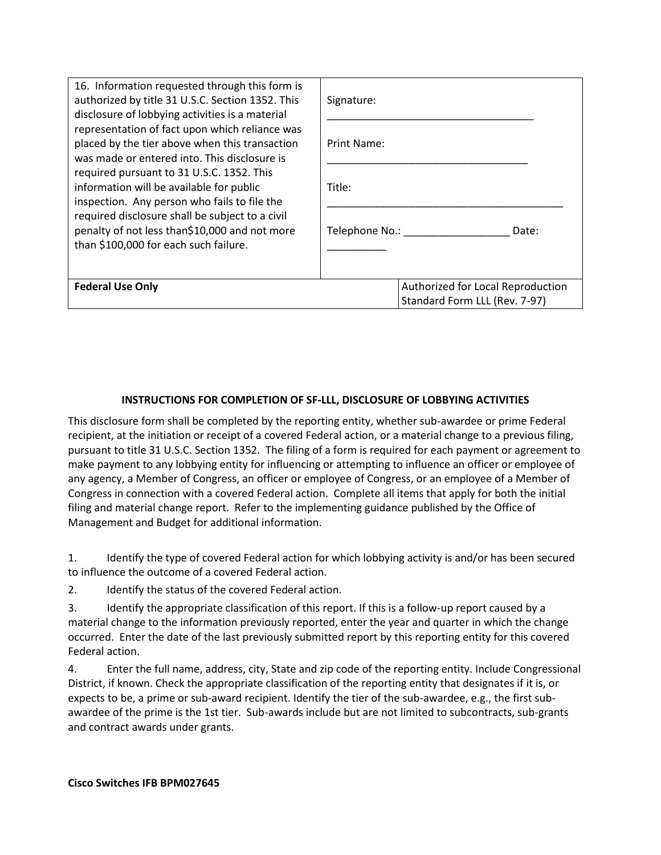| 16. Information requested through this form is<br>authorized by title 31 U.S.C. Section 1352. This<br>disclosure of lobbying activities is a material | Signature:                        |
|-------------------------------------------------------------------------------------------------------------------------------------------------------|-----------------------------------|
| representation of fact upon which reliance was<br>placed by the tier above when this transaction<br>was made or entered into. This disclosure is      | Print Name:                       |
| required pursuant to 31 U.S.C. 1352. This<br>information will be available for public<br>inspection. Any person who fails to file the                 | Title:                            |
| required disclosure shall be subject to a civil<br>penalty of not less than\$10,000 and not more<br>than \$100,000 for each such failure.             | Telephone No.:<br>Date:           |
|                                                                                                                                                       |                                   |
| <b>Federal Use Only</b>                                                                                                                               | Authorized for Local Reproduction |
|                                                                                                                                                       | Standard Form LLL (Rev. 7-97)     |

## **INSTRUCTIONS FOR COMPLETION OF SF-LLL, DISCLOSURE OF LOBBYING ACTIVITIES**

This disclosure form shall be completed by the reporting entity, whether sub-awardee or prime Federal recipient, at the initiation or receipt of a covered Federal action, or a material change to a previous filing, pursuant to title 31 U.S.C. Section 1352. The filing of a form is required for each payment or agreement to make payment to any lobbying entity for influencing or attempting to influence an officer or employee of any agency, a Member of Congress, an officer or employee of Congress, or an employee of a Member of Congress in connection with a covered Federal action. Complete all items that apply for both the initial filing and material change report. Refer to the implementing guidance published by the Office of Management and Budget for additional information.

1. Identify the type of covered Federal action for which lobbying activity is and/or has been secured to influence the outcome of a covered Federal action.

2. Identify the status of the covered Federal action.

3. Identify the appropriate classification of this report. If this is a follow-up report caused by a material change to the information previously reported, enter the year and quarter in which the change occurred. Enter the date of the last previously submitted report by this reporting entity for this covered Federal action.

4. Enter the full name, address, city, State and zip code of the reporting entity. Include Congressional District, if known. Check the appropriate classification of the reporting entity that designates if it is, or expects to be, a prime or sub-award recipient. Identify the tier of the sub-awardee, e.g., the first subawardee of the prime is the 1st tier. Sub-awards include but are not limited to subcontracts, sub-grants and contract awards under grants.